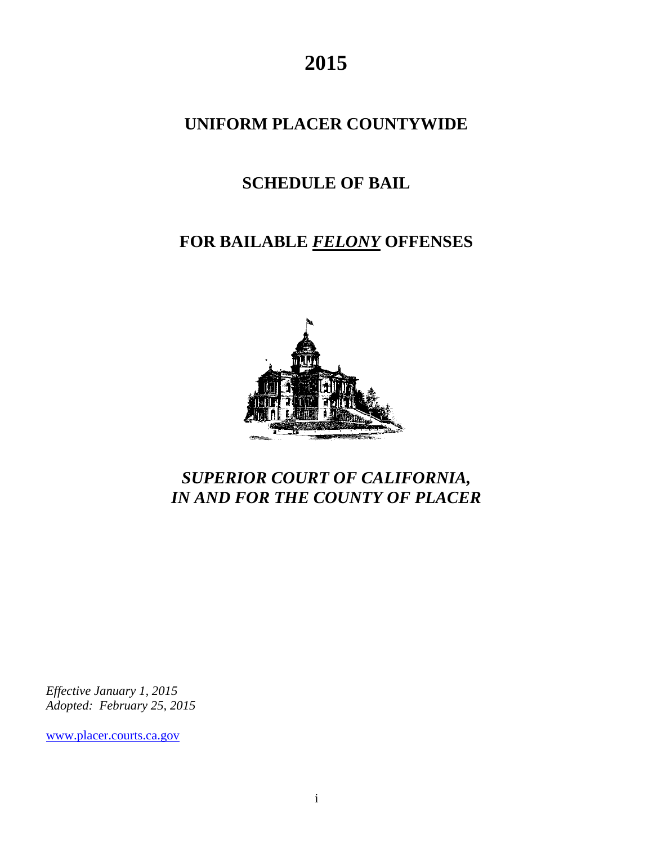**2015** 

### **UNIFORM PLACER COUNTYWIDE**

## **SCHEDULE OF BAIL**

# **FOR BAILABLE** *FELONY* **OFFENSES**



## *SUPERIOR COURT OF CALIFORNIA, IN AND FOR THE COUNTY OF PLACER*

*Effective January 1, 2015 Adopted: February 25, 2015* 

[www.placer.courts.ca.gov](http://www.placer.courts.ca.gov/)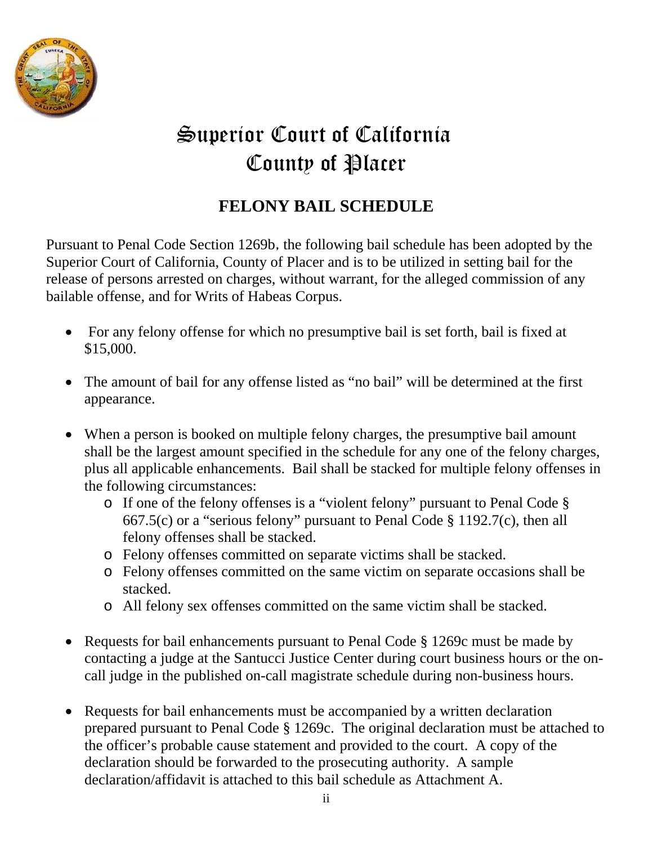

# Superior Court of California County of Placer

## **FELONY BAIL SCHEDULE**

Pursuant to Penal Code Section 1269b, the following bail schedule has been adopted by the Superior Court of California, County of Placer and is to be utilized in setting bail for the release of persons arrested on charges, without warrant, for the alleged commission of any bailable offense, and for Writs of Habeas Corpus.

- For any felony offense for which no presumptive bail is set forth, bail is fixed at \$15,000.
- The amount of bail for any offense listed as "no bail" will be determined at the first appearance.
- When a person is booked on multiple felony charges, the presumptive bail amount shall be the largest amount specified in the schedule for any one of the felony charges, plus all applicable enhancements. Bail shall be stacked for multiple felony offenses in the following circumstances:
	- o If one of the felony offenses is a "violent felony" pursuant to Penal Code § 667.5(c) or a "serious felony" pursuant to Penal Code § 1192.7(c), then all felony offenses shall be stacked.
	- o Felony offenses committed on separate victims shall be stacked.
	- o Felony offenses committed on the same victim on separate occasions shall be stacked.
	- o All felony sex offenses committed on the same victim shall be stacked.
- Requests for bail enhancements pursuant to Penal Code § 1269c must be made by contacting a judge at the Santucci Justice Center during court business hours or the oncall judge in the published on-call magistrate schedule during non-business hours.
- Requests for bail enhancements must be accompanied by a written declaration prepared pursuant to Penal Code § 1269c. The original declaration must be attached to the officer's probable cause statement and provided to the court. A copy of the declaration should be forwarded to the prosecuting authority. A sample declaration/affidavit is attached to this bail schedule as Attachment A.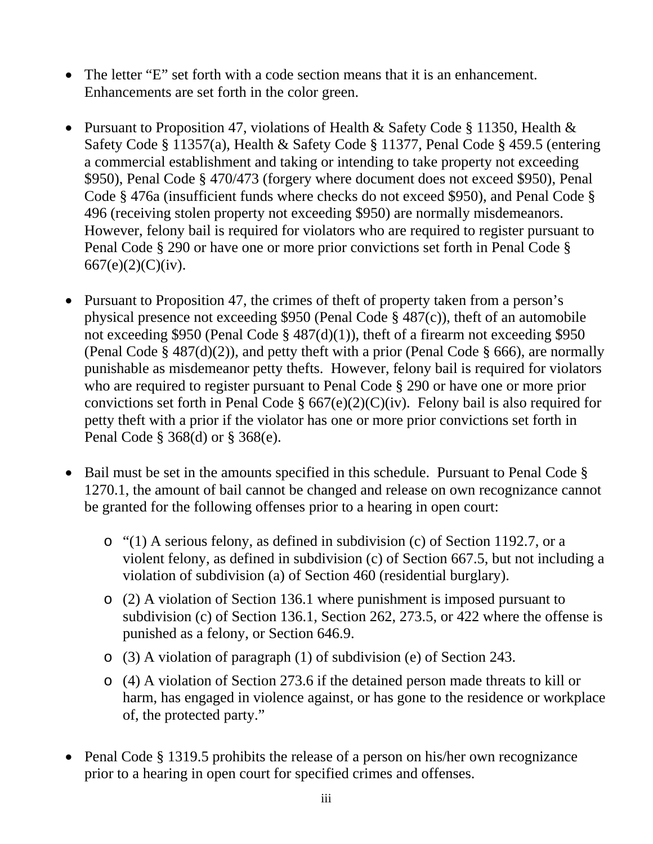- The letter "E" set forth with a code section means that it is an enhancement. Enhancements are set forth in the color green.
- Pursuant to Proposition 47, violations of Health & Safety Code § 11350, Health & Safety Code § 11357(a), Health & Safety Code § 11377, Penal Code § 459.5 (entering a commercial establishment and taking or intending to take property not exceeding \$950), Penal Code § 470/473 (forgery where document does not exceed \$950), Penal Code § 476a (insufficient funds where checks do not exceed \$950), and Penal Code § 496 (receiving stolen property not exceeding \$950) are normally misdemeanors. However, felony bail is required for violators who are required to register pursuant to Penal Code § 290 or have one or more prior convictions set forth in Penal Code § 667(e)(2)(C)(iv).
- Pursuant to Proposition 47, the crimes of theft of property taken from a person's physical presence not exceeding \$950 (Penal Code § 487(c)), theft of an automobile not exceeding \$950 (Penal Code § 487(d)(1)), theft of a firearm not exceeding \$950 (Penal Code §  $487(d)(2)$ ), and petty theft with a prior (Penal Code § 666), are normally punishable as misdemeanor petty thefts. However, felony bail is required for violators who are required to register pursuant to Penal Code § 290 or have one or more prior convictions set forth in Penal Code  $\S 667(e)(2)(C)(iv)$ . Felony bail is also required for petty theft with a prior if the violator has one or more prior convictions set forth in Penal Code § 368(d) or § 368(e).
- Bail must be set in the amounts specified in this schedule. Pursuant to Penal Code  $\S$ 1270.1, the amount of bail cannot be changed and release on own recognizance cannot be granted for the following offenses prior to a hearing in open court:
	- o "(1) A serious felony, as defined in subdivision (c) of Section 1192.7, or a violent felony, as defined in subdivision (c) of Section 667.5, but not including a violation of subdivision (a) of Section 460 (residential burglary).
	- o (2) A violation of Section 136.1 where punishment is imposed pursuant to subdivision (c) of Section 136.1, Section 262, 273.5, or 422 where the offense is punished as a felony, or Section 646.9.
	- o (3) A violation of paragraph (1) of subdivision (e) of Section 243.
	- o (4) A violation of Section 273.6 if the detained person made threats to kill or harm, has engaged in violence against, or has gone to the residence or workplace of, the protected party."
- Penal Code § 1319.5 prohibits the release of a person on his/her own recognizance prior to a hearing in open court for specified crimes and offenses.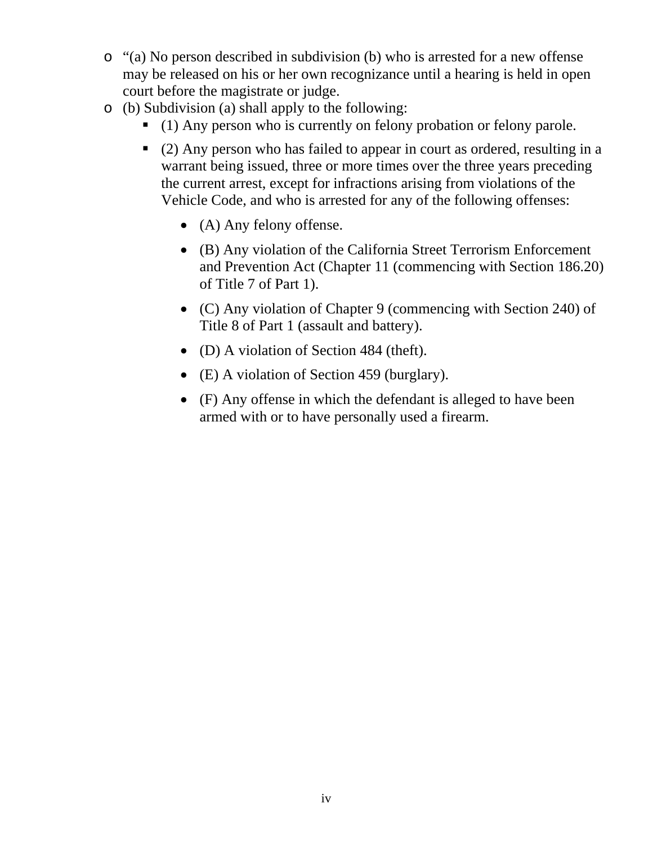- o "(a) No person described in subdivision (b) who is arrested for a new offense may be released on his or her own recognizance until a hearing is held in open court before the magistrate or judge.
- o (b) Subdivision (a) shall apply to the following:
	- (1) Any person who is currently on felony probation or felony parole.
	- (2) Any person who has failed to appear in court as ordered, resulting in a warrant being issued, three or more times over the three years preceding the current arrest, except for infractions arising from violations of the Vehicle Code, and who is arrested for any of the following offenses:
		- (A) Any felony offense.
		- (B) Any violation of the California Street Terrorism Enforcement and Prevention Act (Chapter 11 (commencing with Section 186.20) of Title 7 of Part 1).
		- (C) Any violation of Chapter 9 (commencing with Section 240) of Title 8 of Part 1 (assault and battery).
		- (D) A violation of Section 484 (theft).
		- (E) A violation of Section 459 (burglary).
		- (F) Any offense in which the defendant is alleged to have been armed with or to have personally used a firearm.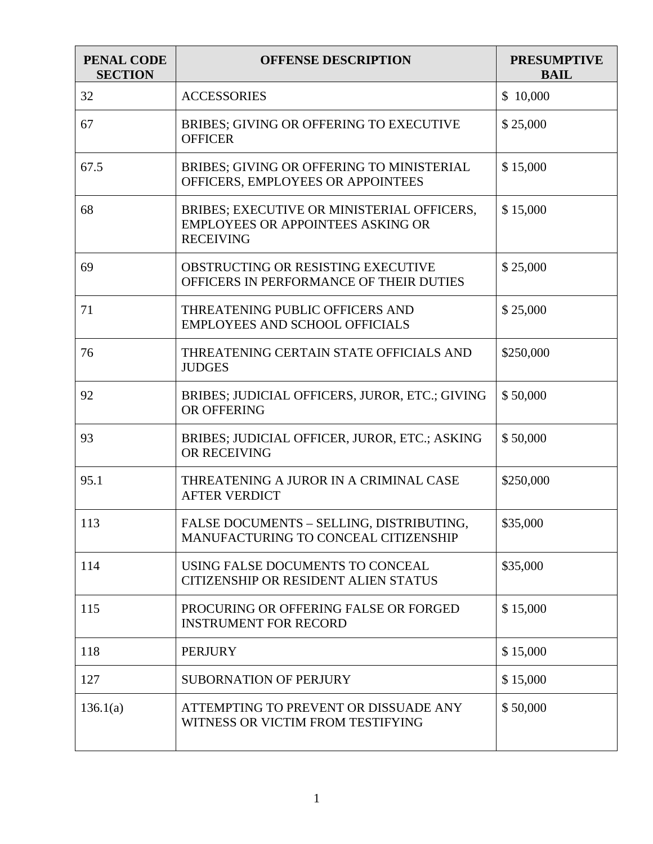| PENAL CODE<br><b>SECTION</b> | <b>OFFENSE DESCRIPTION</b>                                                                          | <b>PRESUMPTIVE</b><br><b>BAIL</b> |
|------------------------------|-----------------------------------------------------------------------------------------------------|-----------------------------------|
| 32                           | <b>ACCESSORIES</b>                                                                                  | \$10,000                          |
| 67                           | <b>BRIBES: GIVING OR OFFERING TO EXECUTIVE</b><br><b>OFFICER</b>                                    | \$25,000                          |
| 67.5                         | BRIBES; GIVING OR OFFERING TO MINISTERIAL<br>OFFICERS, EMPLOYEES OR APPOINTEES                      | \$15,000                          |
| 68                           | BRIBES; EXECUTIVE OR MINISTERIAL OFFICERS,<br>EMPLOYEES OR APPOINTEES ASKING OR<br><b>RECEIVING</b> | \$15,000                          |
| 69                           | OBSTRUCTING OR RESISTING EXECUTIVE<br>OFFICERS IN PERFORMANCE OF THEIR DUTIES                       | \$25,000                          |
| 71                           | THREATENING PUBLIC OFFICERS AND<br><b>EMPLOYEES AND SCHOOL OFFICIALS</b>                            | \$25,000                          |
| 76                           | THREATENING CERTAIN STATE OFFICIALS AND<br><b>JUDGES</b>                                            | \$250,000                         |
| 92                           | BRIBES; JUDICIAL OFFICERS, JUROR, ETC.; GIVING<br>OR OFFERING                                       | \$50,000                          |
| 93                           | BRIBES; JUDICIAL OFFICER, JUROR, ETC.; ASKING<br>OR RECEIVING                                       | \$50,000                          |
| 95.1                         | THREATENING A JUROR IN A CRIMINAL CASE<br><b>AFTER VERDICT</b>                                      | \$250,000                         |
| 113                          | FALSE DOCUMENTS - SELLING, DISTRIBUTING,<br>MANUFACTURING TO CONCEAL CITIZENSHIP                    | \$35,000                          |
| 114                          | USING FALSE DOCUMENTS TO CONCEAL<br><b>CITIZENSHIP OR RESIDENT ALIEN STATUS</b>                     | \$35,000                          |
| 115                          | PROCURING OR OFFERING FALSE OR FORGED<br><b>INSTRUMENT FOR RECORD</b>                               | \$15,000                          |
| 118                          | <b>PERJURY</b>                                                                                      | \$15,000                          |
| 127                          | <b>SUBORNATION OF PERJURY</b>                                                                       | \$15,000                          |
| 136.1(a)                     | ATTEMPTING TO PREVENT OR DISSUADE ANY<br>WITNESS OR VICTIM FROM TESTIFYING                          | \$50,000                          |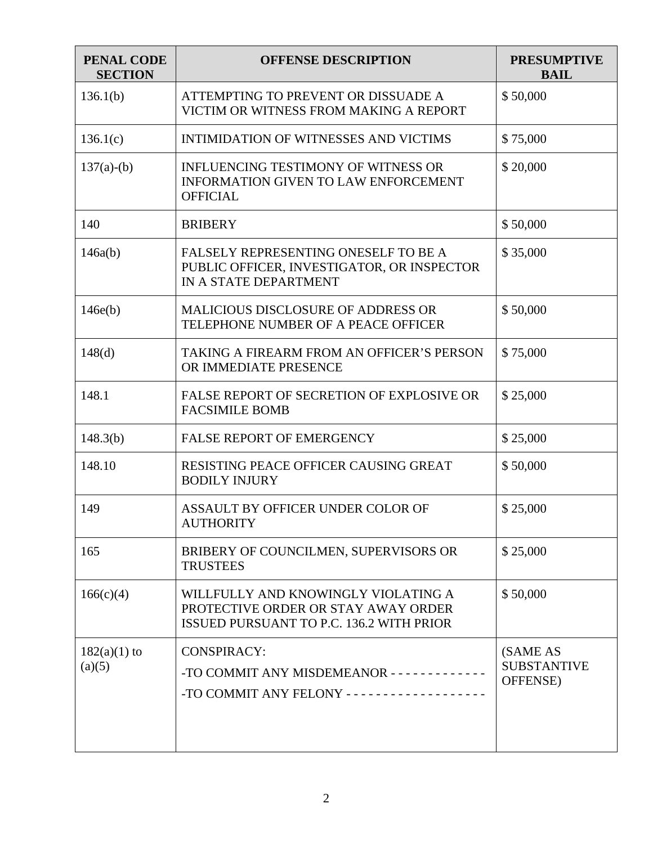| <b>PENAL CODE</b><br><b>SECTION</b> | <b>OFFENSE DESCRIPTION</b>                                                                                                    | <b>PRESUMPTIVE</b><br><b>BAIL</b>          |
|-------------------------------------|-------------------------------------------------------------------------------------------------------------------------------|--------------------------------------------|
| 136.1(b)                            | ATTEMPTING TO PREVENT OR DISSUADE A<br>VICTIM OR WITNESS FROM MAKING A REPORT                                                 | \$50,000                                   |
| 136.1(c)                            | INTIMIDATION OF WITNESSES AND VICTIMS                                                                                         | \$75,000                                   |
| $137(a)-(b)$                        | <b>INFLUENCING TESTIMONY OF WITNESS OR</b><br>INFORMATION GIVEN TO LAW ENFORCEMENT<br><b>OFFICIAL</b>                         | \$20,000                                   |
| 140                                 | <b>BRIBERY</b>                                                                                                                | \$50,000                                   |
| 146a(b)                             | FALSELY REPRESENTING ONESELF TO BE A<br>PUBLIC OFFICER, INVESTIGATOR, OR INSPECTOR<br>IN A STATE DEPARTMENT                   | \$35,000                                   |
| 146e(b)                             | <b>MALICIOUS DISCLOSURE OF ADDRESS OR</b><br>TELEPHONE NUMBER OF A PEACE OFFICER                                              | \$50,000                                   |
| 148(d)                              | TAKING A FIREARM FROM AN OFFICER'S PERSON<br>OR IMMEDIATE PRESENCE                                                            | \$75,000                                   |
| 148.1                               | FALSE REPORT OF SECRETION OF EXPLOSIVE OR<br><b>FACSIMILE BOMB</b>                                                            | \$25,000                                   |
| 148.3(b)                            | <b>FALSE REPORT OF EMERGENCY</b>                                                                                              | \$25,000                                   |
| 148.10                              | RESISTING PEACE OFFICER CAUSING GREAT<br><b>BODILY INJURY</b>                                                                 | \$50,000                                   |
| 149                                 | ASSAULT BY OFFICER UNDER COLOR OF<br><b>AUTHORITY</b>                                                                         | \$25,000                                   |
| 165                                 | BRIBERY OF COUNCILMEN, SUPERVISORS OR<br><b>TRUSTEES</b>                                                                      | \$25,000                                   |
| 166(c)(4)                           | WILLFULLY AND KNOWINGLY VIOLATING A<br>PROTECTIVE ORDER OR STAY AWAY ORDER<br><b>ISSUED PURSUANT TO P.C. 136.2 WITH PRIOR</b> | \$50,000                                   |
| $182(a)(1)$ to<br>(a)(5)            | <b>CONSPIRACY:</b><br>-TO COMMIT ANY MISDEMEANOR - - - - - - - - - - - -<br>-TO COMMIT ANY FELONY ------------------          | (SAME AS<br><b>SUBSTANTIVE</b><br>OFFENSE) |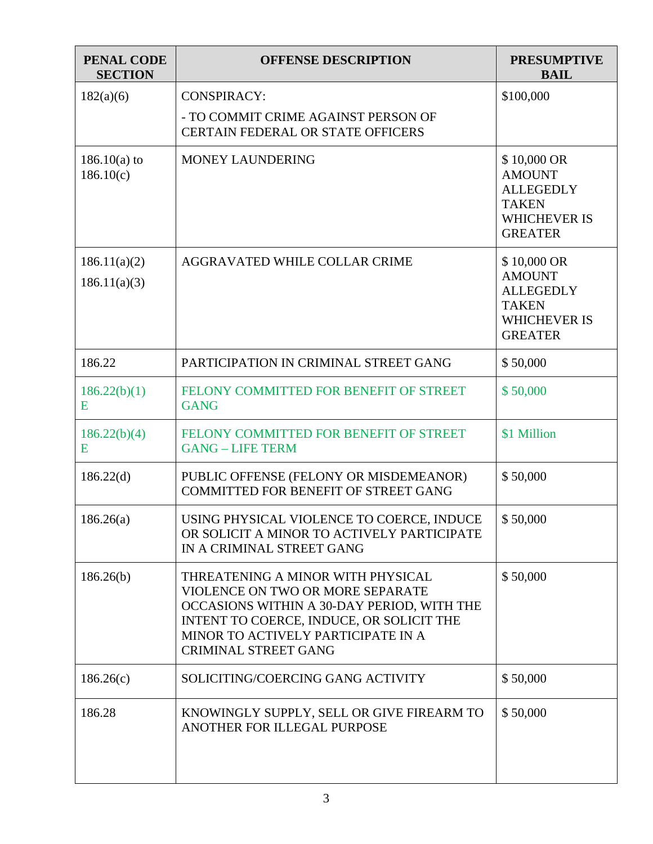| <b>PENAL CODE</b><br><b>SECTION</b> | <b>OFFENSE DESCRIPTION</b>                                                                                                                                                                                                           | <b>PRESUMPTIVE</b><br><b>BAIL</b>                                                                         |
|-------------------------------------|--------------------------------------------------------------------------------------------------------------------------------------------------------------------------------------------------------------------------------------|-----------------------------------------------------------------------------------------------------------|
| 182(a)(6)                           | <b>CONSPIRACY:</b><br>- TO COMMIT CRIME AGAINST PERSON OF<br><b>CERTAIN FEDERAL OR STATE OFFICERS</b>                                                                                                                                | \$100,000                                                                                                 |
| $186.10(a)$ to<br>186.10(c)         | MONEY LAUNDERING                                                                                                                                                                                                                     | \$10,000 OR<br><b>AMOUNT</b><br><b>ALLEGEDLY</b><br><b>TAKEN</b><br><b>WHICHEVER IS</b><br><b>GREATER</b> |
| 186.11(a)(2)<br>186.11(a)(3)        | AGGRAVATED WHILE COLLAR CRIME                                                                                                                                                                                                        | \$10,000 OR<br><b>AMOUNT</b><br><b>ALLEGEDLY</b><br><b>TAKEN</b><br><b>WHICHEVER IS</b><br><b>GREATER</b> |
| 186.22                              | PARTICIPATION IN CRIMINAL STREET GANG                                                                                                                                                                                                | \$50,000                                                                                                  |
| 186.22(b)(1)<br>E                   | FELONY COMMITTED FOR BENEFIT OF STREET<br><b>GANG</b>                                                                                                                                                                                | \$50,000                                                                                                  |
| 186.22(b)(4)<br>E                   | FELONY COMMITTED FOR BENEFIT OF STREET<br><b>GANG - LIFE TERM</b>                                                                                                                                                                    | \$1 Million                                                                                               |
| 186.22(d)                           | PUBLIC OFFENSE (FELONY OR MISDEMEANOR)<br>COMMITTED FOR BENEFIT OF STREET GANG                                                                                                                                                       | \$50,000                                                                                                  |
| 186.26(a)                           | USING PHYSICAL VIOLENCE TO COERCE, INDUCE<br>OR SOLICIT A MINOR TO ACTIVELY PARTICIPATE<br>IN A CRIMINAL STREET GANG                                                                                                                 | \$50,000                                                                                                  |
| 186.26(b)                           | THREATENING A MINOR WITH PHYSICAL<br>VIOLENCE ON TWO OR MORE SEPARATE<br>OCCASIONS WITHIN A 30-DAY PERIOD, WITH THE<br>INTENT TO COERCE, INDUCE, OR SOLICIT THE<br>MINOR TO ACTIVELY PARTICIPATE IN A<br><b>CRIMINAL STREET GANG</b> | \$50,000                                                                                                  |
| 186.26(c)                           | SOLICITING/COERCING GANG ACTIVITY                                                                                                                                                                                                    | \$50,000                                                                                                  |
| 186.28                              | KNOWINGLY SUPPLY, SELL OR GIVE FIREARM TO<br>ANOTHER FOR ILLEGAL PURPOSE                                                                                                                                                             | \$50,000                                                                                                  |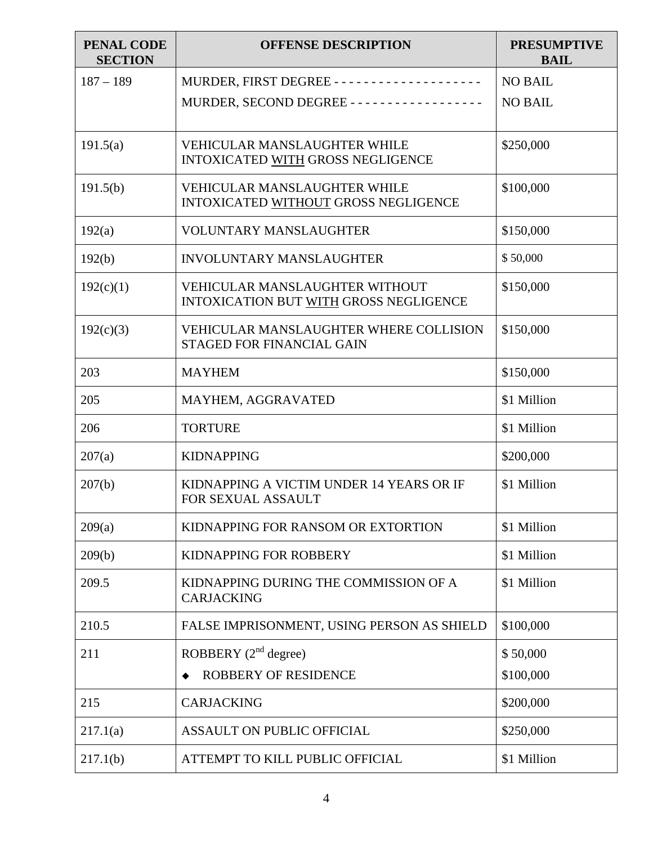| <b>PENAL CODE</b><br><b>SECTION</b> | <b>OFFENSE DESCRIPTION</b>                                                      | <b>PRESUMPTIVE</b><br><b>BAIL</b> |
|-------------------------------------|---------------------------------------------------------------------------------|-----------------------------------|
| $187 - 189$                         |                                                                                 | <b>NO BAIL</b>                    |
|                                     | MURDER, SECOND DEGREE - - - - - - - - - - - - - - - - - -                       | <b>NO BAIL</b>                    |
| 191.5(a)                            | <b>VEHICULAR MANSLAUGHTER WHILE</b><br>INTOXICATED WITH GROSS NEGLIGENCE        | \$250,000                         |
| 191.5(b)                            | <b>VEHICULAR MANSLAUGHTER WHILE</b><br>INTOXICATED WITHOUT GROSS NEGLIGENCE     | \$100,000                         |
| 192(a)                              | VOLUNTARY MANSLAUGHTER                                                          | \$150,000                         |
| 192(b)                              | <b>INVOLUNTARY MANSLAUGHTER</b>                                                 | \$50,000                          |
| 192(c)(1)                           | <b>VEHICULAR MANSLAUGHTER WITHOUT</b><br>INTOXICATION BUT WITH GROSS NEGLIGENCE | \$150,000                         |
| 192(c)(3)                           | <b>VEHICULAR MANSLAUGHTER WHERE COLLISION</b><br>STAGED FOR FINANCIAL GAIN      | \$150,000                         |
| 203                                 | <b>MAYHEM</b>                                                                   | \$150,000                         |
| 205                                 | MAYHEM, AGGRAVATED                                                              | \$1 Million                       |
| 206                                 | <b>TORTURE</b>                                                                  | \$1 Million                       |
| 207(a)                              | <b>KIDNAPPING</b>                                                               | \$200,000                         |
| 207(b)                              | KIDNAPPING A VICTIM UNDER 14 YEARS OR IF<br>FOR SEXUAL ASSAULT                  | \$1 Million                       |
| 209(a)                              | KIDNAPPING FOR RANSOM OR EXTORTION                                              | \$1 Million                       |
| 209(b)                              | KIDNAPPING FOR ROBBERY                                                          | \$1 Million                       |
| 209.5                               | KIDNAPPING DURING THE COMMISSION OF A<br><b>CARJACKING</b>                      | \$1 Million                       |
| 210.5                               | FALSE IMPRISONMENT, USING PERSON AS SHIELD                                      | \$100,000                         |
| 211                                 | ROBBERY $(2^{nd}$ degree)                                                       | \$50,000                          |
|                                     | <b>ROBBERY OF RESIDENCE</b>                                                     | \$100,000                         |
| 215                                 | <b>CARJACKING</b>                                                               | \$200,000                         |
| 217.1(a)                            | <b>ASSAULT ON PUBLIC OFFICIAL</b>                                               | \$250,000                         |
| 217.1(b)                            | ATTEMPT TO KILL PUBLIC OFFICIAL                                                 | \$1 Million                       |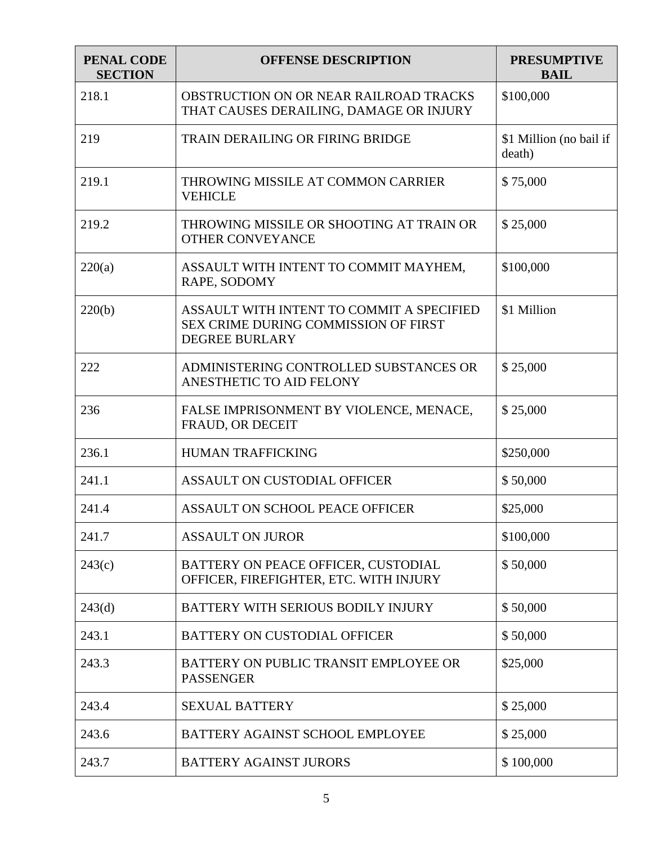| PENAL CODE<br><b>SECTION</b> | <b>OFFENSE DESCRIPTION</b>                                                                                        | <b>PRESUMPTIVE</b><br><b>BAIL</b> |
|------------------------------|-------------------------------------------------------------------------------------------------------------------|-----------------------------------|
| 218.1                        | <b>OBSTRUCTION ON OR NEAR RAILROAD TRACKS</b><br>THAT CAUSES DERAILING, DAMAGE OR INJURY                          | \$100,000                         |
| 219                          | <b>TRAIN DERAILING OR FIRING BRIDGE</b>                                                                           | \$1 Million (no bail if<br>death) |
| 219.1                        | THROWING MISSILE AT COMMON CARRIER<br><b>VEHICLE</b>                                                              | \$75,000                          |
| 219.2                        | THROWING MISSILE OR SHOOTING AT TRAIN OR<br><b>OTHER CONVEYANCE</b>                                               | \$25,000                          |
| 220(a)                       | ASSAULT WITH INTENT TO COMMIT MAYHEM,<br>RAPE, SODOMY                                                             | \$100,000                         |
| 220(b)                       | ASSAULT WITH INTENT TO COMMIT A SPECIFIED<br><b>SEX CRIME DURING COMMISSION OF FIRST</b><br><b>DEGREE BURLARY</b> | \$1 Million                       |
| 222                          | ADMINISTERING CONTROLLED SUBSTANCES OR<br>ANESTHETIC TO AID FELONY                                                | \$25,000                          |
| 236                          | FALSE IMPRISONMENT BY VIOLENCE, MENACE,<br>FRAUD, OR DECEIT                                                       | \$25,000                          |
| 236.1                        | <b>HUMAN TRAFFICKING</b>                                                                                          | \$250,000                         |
| 241.1                        | ASSAULT ON CUSTODIAL OFFICER                                                                                      | \$50,000                          |
| 241.4                        | ASSAULT ON SCHOOL PEACE OFFICER                                                                                   | \$25,000                          |
| 241.7                        | <b>ASSAULT ON JUROR</b>                                                                                           | \$100,000                         |
| 243(c)                       | BATTERY ON PEACE OFFICER, CUSTODIAL<br>OFFICER, FIREFIGHTER, ETC. WITH INJURY                                     | \$50,000                          |
| 243(d)                       | BATTERY WITH SERIOUS BODILY INJURY                                                                                | \$50,000                          |
| 243.1                        | BATTERY ON CUSTODIAL OFFICER                                                                                      | \$50,000                          |
| 243.3                        | BATTERY ON PUBLIC TRANSIT EMPLOYEE OR<br><b>PASSENGER</b>                                                         | \$25,000                          |
| 243.4                        | <b>SEXUAL BATTERY</b>                                                                                             | \$25,000                          |
| 243.6                        | BATTERY AGAINST SCHOOL EMPLOYEE                                                                                   | \$25,000                          |
| 243.7                        | <b>BATTERY AGAINST JURORS</b>                                                                                     | \$100,000                         |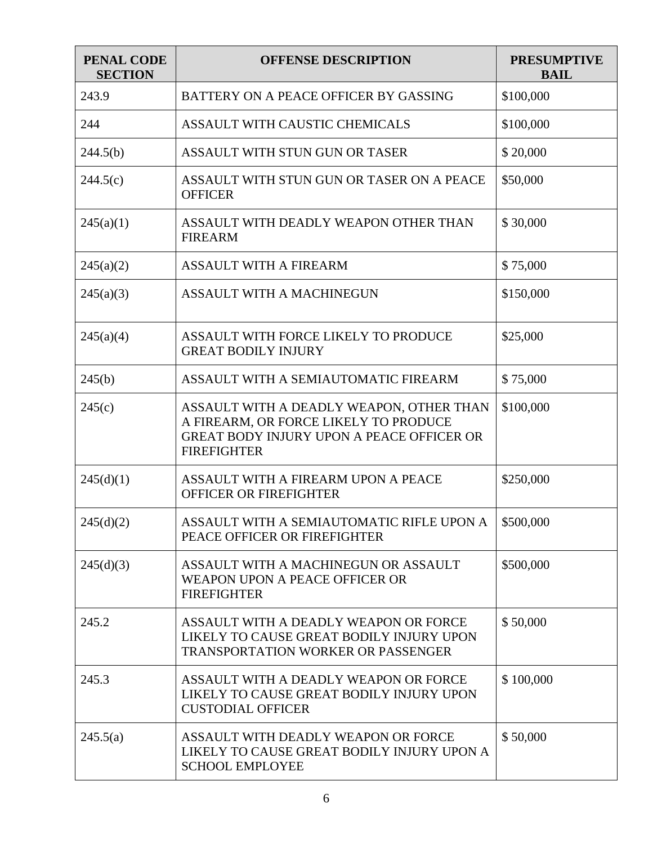| <b>PENAL CODE</b><br><b>SECTION</b> | <b>OFFENSE DESCRIPTION</b>                                                                                                                                  | <b>PRESUMPTIVE</b><br><b>BAIL</b> |
|-------------------------------------|-------------------------------------------------------------------------------------------------------------------------------------------------------------|-----------------------------------|
| 243.9                               | BATTERY ON A PEACE OFFICER BY GASSING                                                                                                                       | \$100,000                         |
| 244                                 | ASSAULT WITH CAUSTIC CHEMICALS                                                                                                                              | \$100,000                         |
| 244.5(b)                            | ASSAULT WITH STUN GUN OR TASER                                                                                                                              | \$20,000                          |
| 244.5(c)                            | ASSAULT WITH STUN GUN OR TASER ON A PEACE<br><b>OFFICER</b>                                                                                                 | \$50,000                          |
| 245(a)(1)                           | ASSAULT WITH DEADLY WEAPON OTHER THAN<br><b>FIREARM</b>                                                                                                     | \$30,000                          |
| 245(a)(2)                           | <b>ASSAULT WITH A FIREARM</b>                                                                                                                               | \$75,000                          |
| 245(a)(3)                           | ASSAULT WITH A MACHINEGUN                                                                                                                                   | \$150,000                         |
| 245(a)(4)                           | ASSAULT WITH FORCE LIKELY TO PRODUCE<br><b>GREAT BODILY INJURY</b>                                                                                          | \$25,000                          |
| 245(b)                              | ASSAULT WITH A SEMIAUTOMATIC FIREARM                                                                                                                        | \$75,000                          |
| 245(c)                              | ASSAULT WITH A DEADLY WEAPON, OTHER THAN<br>A FIREARM, OR FORCE LIKELY TO PRODUCE<br><b>GREAT BODY INJURY UPON A PEACE OFFICER OR</b><br><b>FIREFIGHTER</b> | \$100,000                         |
| 245(d)(1)                           | ASSAULT WITH A FIREARM UPON A PEACE<br><b>OFFICER OR FIREFIGHTER</b>                                                                                        | \$250,000                         |
| 245(d)(2)                           | ASSAULT WITH A SEMIAUTOMATIC RIFLE UPON A<br>PEACE OFFICER OR FIREFIGHTER                                                                                   | \$500,000                         |
| 245(d)(3)                           | ASSAULT WITH A MACHINEGUN OR ASSAULT<br>WEAPON UPON A PEACE OFFICER OR<br><b>FIREFIGHTER</b>                                                                | \$500,000                         |
| 245.2                               | ASSAULT WITH A DEADLY WEAPON OR FORCE<br>LIKELY TO CAUSE GREAT BODILY INJURY UPON<br><b>TRANSPORTATION WORKER OR PASSENGER</b>                              | \$50,000                          |
| 245.3                               | ASSAULT WITH A DEADLY WEAPON OR FORCE<br>LIKELY TO CAUSE GREAT BODILY INJURY UPON<br><b>CUSTODIAL OFFICER</b>                                               | \$100,000                         |
| 245.5(a)                            | ASSAULT WITH DEADLY WEAPON OR FORCE<br>LIKELY TO CAUSE GREAT BODILY INJURY UPON A<br><b>SCHOOL EMPLOYEE</b>                                                 | \$50,000                          |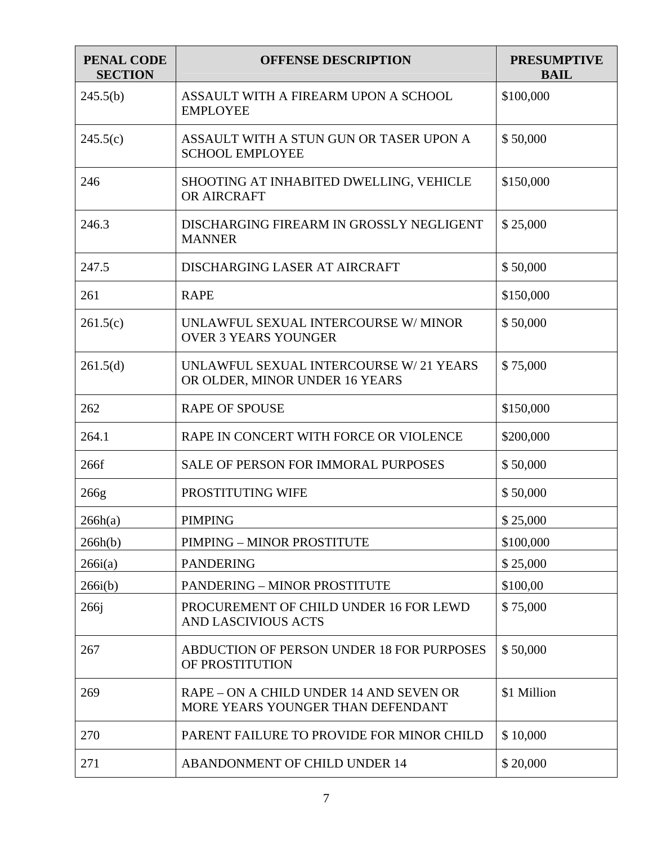| <b>PENAL CODE</b><br><b>SECTION</b> | <b>OFFENSE DESCRIPTION</b>                                                   | <b>PRESUMPTIVE</b><br><b>BAIL</b> |
|-------------------------------------|------------------------------------------------------------------------------|-----------------------------------|
| 245.5(b)                            | ASSAULT WITH A FIREARM UPON A SCHOOL<br><b>EMPLOYEE</b>                      | \$100,000                         |
| 245.5(c)                            | ASSAULT WITH A STUN GUN OR TASER UPON A<br><b>SCHOOL EMPLOYEE</b>            | \$50,000                          |
| 246                                 | SHOOTING AT INHABITED DWELLING, VEHICLE<br>OR AIRCRAFT                       | \$150,000                         |
| 246.3                               | DISCHARGING FIREARM IN GROSSLY NEGLIGENT<br><b>MANNER</b>                    | \$25,000                          |
| 247.5                               | DISCHARGING LASER AT AIRCRAFT                                                | \$50,000                          |
| 261                                 | <b>RAPE</b>                                                                  | \$150,000                         |
| 261.5(c)                            | UNLAWFUL SEXUAL INTERCOURSE W/ MINOR<br><b>OVER 3 YEARS YOUNGER</b>          | \$50,000                          |
| 261.5(d)                            | UNLAWFUL SEXUAL INTERCOURSE W/ 21 YEARS<br>OR OLDER, MINOR UNDER 16 YEARS    | \$75,000                          |
| 262                                 | <b>RAPE OF SPOUSE</b>                                                        | \$150,000                         |
| 264.1                               | RAPE IN CONCERT WITH FORCE OR VIOLENCE                                       | \$200,000                         |
| 266f                                | <b>SALE OF PERSON FOR IMMORAL PURPOSES</b>                                   | \$50,000                          |
| 266g                                | PROSTITUTING WIFE                                                            | \$50,000                          |
| 266h(a)                             | PIMPING                                                                      | \$25,000                          |
| 266h(b)                             | PIMPING - MINOR PROSTITUTE                                                   | \$100,000                         |
| 266i(a)                             | <b>PANDERING</b>                                                             | \$25,000                          |
| 266i(b)                             | <b>PANDERING - MINOR PROSTITUTE</b>                                          | \$100,00                          |
| 266j                                | PROCUREMENT OF CHILD UNDER 16 FOR LEWD<br>AND LASCIVIOUS ACTS                | \$75,000                          |
| 267                                 | ABDUCTION OF PERSON UNDER 18 FOR PURPOSES<br>OF PROSTITUTION                 | \$50,000                          |
| 269                                 | RAPE – ON A CHILD UNDER 14 AND SEVEN OR<br>MORE YEARS YOUNGER THAN DEFENDANT | \$1 Million                       |
| 270                                 | PARENT FAILURE TO PROVIDE FOR MINOR CHILD                                    | \$10,000                          |
| 271                                 | ABANDONMENT OF CHILD UNDER 14                                                | \$20,000                          |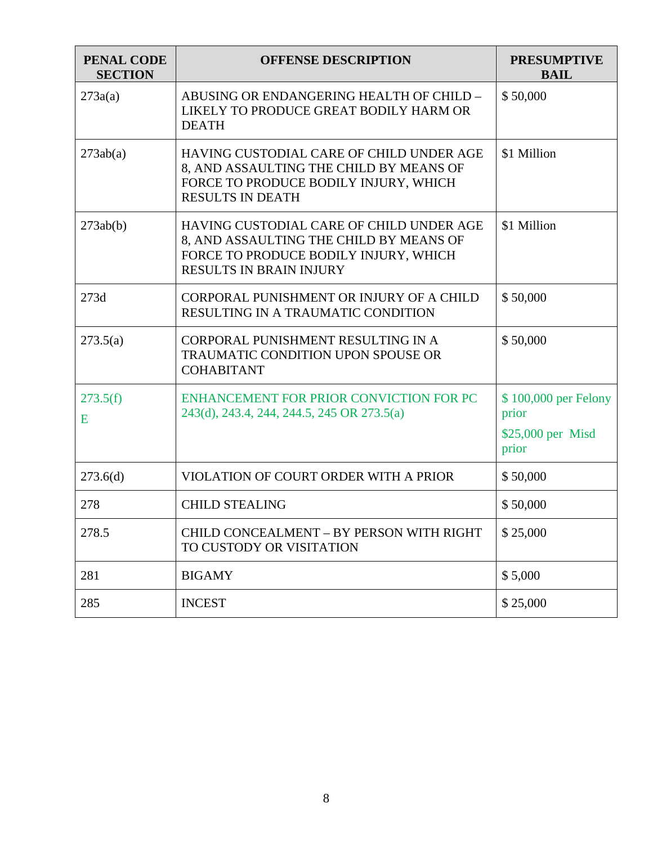| <b>PENAL CODE</b><br><b>SECTION</b> | <b>OFFENSE DESCRIPTION</b>                                                                                                                                     | <b>PRESUMPTIVE</b><br><b>BAIL</b>                           |
|-------------------------------------|----------------------------------------------------------------------------------------------------------------------------------------------------------------|-------------------------------------------------------------|
| 273a(a)                             | ABUSING OR ENDANGERING HEALTH OF CHILD -<br>LIKELY TO PRODUCE GREAT BODILY HARM OR<br><b>DEATH</b>                                                             | \$50,000                                                    |
| 273ab(a)                            | HAVING CUSTODIAL CARE OF CHILD UNDER AGE<br>8, AND ASSAULTING THE CHILD BY MEANS OF<br>FORCE TO PRODUCE BODILY INJURY, WHICH<br><b>RESULTS IN DEATH</b>        | \$1 Million                                                 |
| 273ab(b)                            | HAVING CUSTODIAL CARE OF CHILD UNDER AGE<br>8, AND ASSAULTING THE CHILD BY MEANS OF<br>FORCE TO PRODUCE BODILY INJURY, WHICH<br><b>RESULTS IN BRAIN INJURY</b> | \$1 Million                                                 |
| 273d                                | CORPORAL PUNISHMENT OR INJURY OF A CHILD<br>RESULTING IN A TRAUMATIC CONDITION                                                                                 | \$50,000                                                    |
| 273.5(a)                            | CORPORAL PUNISHMENT RESULTING IN A<br>TRAUMATIC CONDITION UPON SPOUSE OR<br><b>COHABITANT</b>                                                                  | \$50,000                                                    |
| 273.5(f)<br>E                       | ENHANCEMENT FOR PRIOR CONVICTION FOR PC<br>243(d), 243.4, 244, 244.5, 245 OR 273.5(a)                                                                          | \$100,000 per Felony<br>prior<br>\$25,000 per Misd<br>prior |
| 273.6(d)                            | VIOLATION OF COURT ORDER WITH A PRIOR                                                                                                                          | \$50,000                                                    |
| 278                                 | <b>CHILD STEALING</b>                                                                                                                                          | \$50,000                                                    |
| 278.5                               | CHILD CONCEALMENT - BY PERSON WITH RIGHT<br>TO CUSTODY OR VISITATION                                                                                           | \$25,000                                                    |
| 281                                 | <b>BIGAMY</b>                                                                                                                                                  | \$5,000                                                     |
| 285                                 | <b>INCEST</b>                                                                                                                                                  | \$25,000                                                    |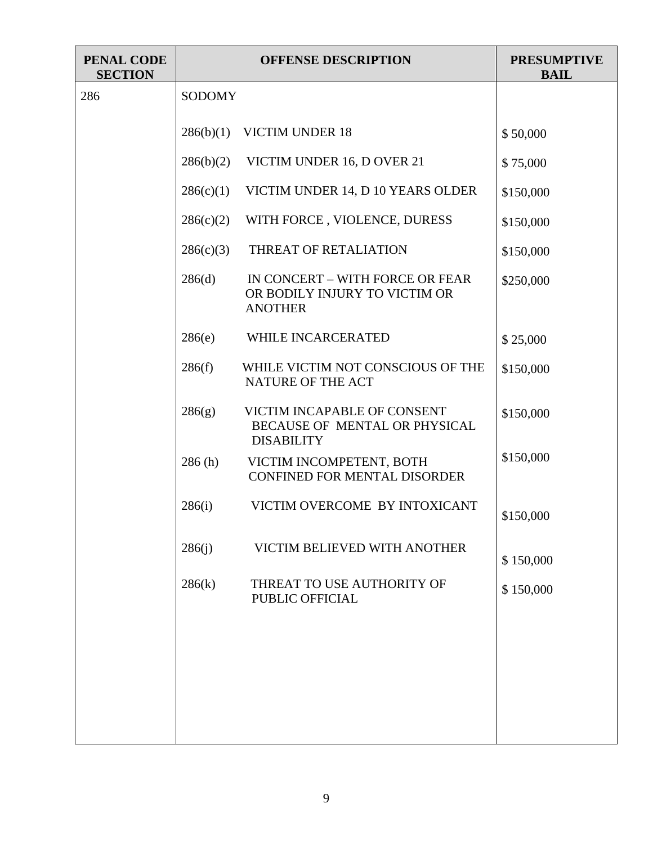| <b>PENAL CODE</b><br><b>SECTION</b> |               | <b>OFFENSE DESCRIPTION</b>                                                         | <b>PRESUMPTIVE</b><br><b>BAIL</b> |
|-------------------------------------|---------------|------------------------------------------------------------------------------------|-----------------------------------|
| 286                                 | <b>SODOMY</b> |                                                                                    |                                   |
|                                     | 286(b)(1)     | <b>VICTIM UNDER 18</b>                                                             | \$50,000                          |
|                                     | 286(b)(2)     | VICTIM UNDER 16, D OVER 21                                                         | \$75,000                          |
|                                     | 286(c)(1)     | VICTIM UNDER 14, D 10 YEARS OLDER                                                  | \$150,000                         |
|                                     | 286(c)(2)     | WITH FORCE, VIOLENCE, DURESS                                                       | \$150,000                         |
|                                     | 286(c)(3)     | THREAT OF RETALIATION                                                              | \$150,000                         |
|                                     | 286(d)        | IN CONCERT - WITH FORCE OR FEAR<br>OR BODILY INJURY TO VICTIM OR<br><b>ANOTHER</b> | \$250,000                         |
|                                     | 286(e)        | WHILE INCARCERATED                                                                 | \$25,000                          |
|                                     | 286(f)        | WHILE VICTIM NOT CONSCIOUS OF THE<br>NATURE OF THE ACT                             | \$150,000                         |
|                                     | 286(g)        | VICTIM INCAPABLE OF CONSENT<br>BECAUSE OF MENTAL OR PHYSICAL<br><b>DISABILITY</b>  | \$150,000                         |
|                                     | 286(h)        | VICTIM INCOMPETENT, BOTH<br><b>CONFINED FOR MENTAL DISORDER</b>                    | \$150,000                         |
|                                     | 286(i)        | VICTIM OVERCOME BY INTOXICANT                                                      | \$150,000                         |
|                                     | 286(i)        | VICTIM BELIEVED WITH ANOTHER                                                       | \$150,000                         |
|                                     | 286(k)        | THREAT TO USE AUTHORITY OF<br>PUBLIC OFFICIAL                                      | \$150,000                         |
|                                     |               |                                                                                    |                                   |
|                                     |               |                                                                                    |                                   |
|                                     |               |                                                                                    |                                   |
|                                     |               |                                                                                    |                                   |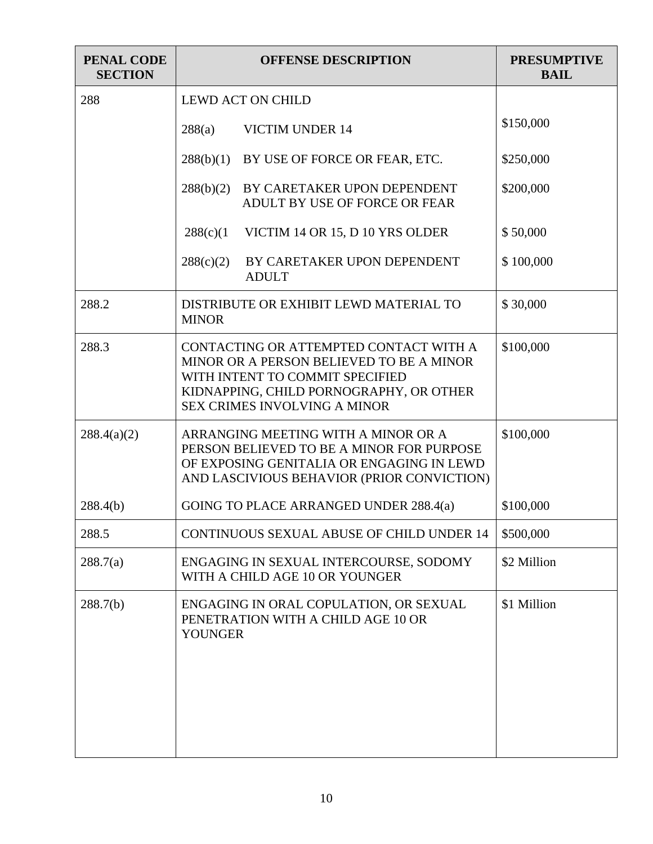| <b>PENAL CODE</b><br><b>SECTION</b> | <b>OFFENSE DESCRIPTION</b>                                                                                                                                                                              | <b>PRESUMPTIVE</b><br><b>BAIL</b> |
|-------------------------------------|---------------------------------------------------------------------------------------------------------------------------------------------------------------------------------------------------------|-----------------------------------|
| 288                                 | <b>LEWD ACT ON CHILD</b>                                                                                                                                                                                |                                   |
|                                     | <b>VICTIM UNDER 14</b><br>288(a)                                                                                                                                                                        | \$150,000                         |
|                                     | 288(b)(1)<br>BY USE OF FORCE OR FEAR, ETC.                                                                                                                                                              | \$250,000                         |
|                                     | BY CARETAKER UPON DEPENDENT<br>288(b)(2)<br>ADULT BY USE OF FORCE OR FEAR                                                                                                                               | \$200,000                         |
|                                     | 288(c)(1)<br>VICTIM 14 OR 15, D 10 YRS OLDER                                                                                                                                                            | \$50,000                          |
|                                     | BY CARETAKER UPON DEPENDENT<br>288(c)(2)<br><b>ADULT</b>                                                                                                                                                | \$100,000                         |
| 288.2                               | DISTRIBUTE OR EXHIBIT LEWD MATERIAL TO<br><b>MINOR</b>                                                                                                                                                  | \$30,000                          |
| 288.3                               | CONTACTING OR ATTEMPTED CONTACT WITH A<br>MINOR OR A PERSON BELIEVED TO BE A MINOR<br>WITH INTENT TO COMMIT SPECIFIED<br>KIDNAPPING, CHILD PORNOGRAPHY, OR OTHER<br><b>SEX CRIMES INVOLVING A MINOR</b> | \$100,000                         |
| 288.4(a)(2)                         | ARRANGING MEETING WITH A MINOR OR A<br>PERSON BELIEVED TO BE A MINOR FOR PURPOSE<br>OF EXPOSING GENITALIA OR ENGAGING IN LEWD<br>AND LASCIVIOUS BEHAVIOR (PRIOR CONVICTION)                             | \$100,000                         |
| 288.4(b)                            | GOING TO PLACE ARRANGED UNDER 288.4(a)                                                                                                                                                                  | \$100,000                         |
| 288.5                               | <b>CONTINUOUS SEXUAL ABUSE OF CHILD UNDER 14</b>                                                                                                                                                        | \$500,000                         |
| 288.7(a)                            | ENGAGING IN SEXUAL INTERCOURSE, SODOMY<br>WITH A CHILD AGE 10 OR YOUNGER                                                                                                                                | \$2 Million                       |
| 288.7(b)                            | ENGAGING IN ORAL COPULATION, OR SEXUAL<br>PENETRATION WITH A CHILD AGE 10 OR<br><b>YOUNGER</b>                                                                                                          | \$1 Million                       |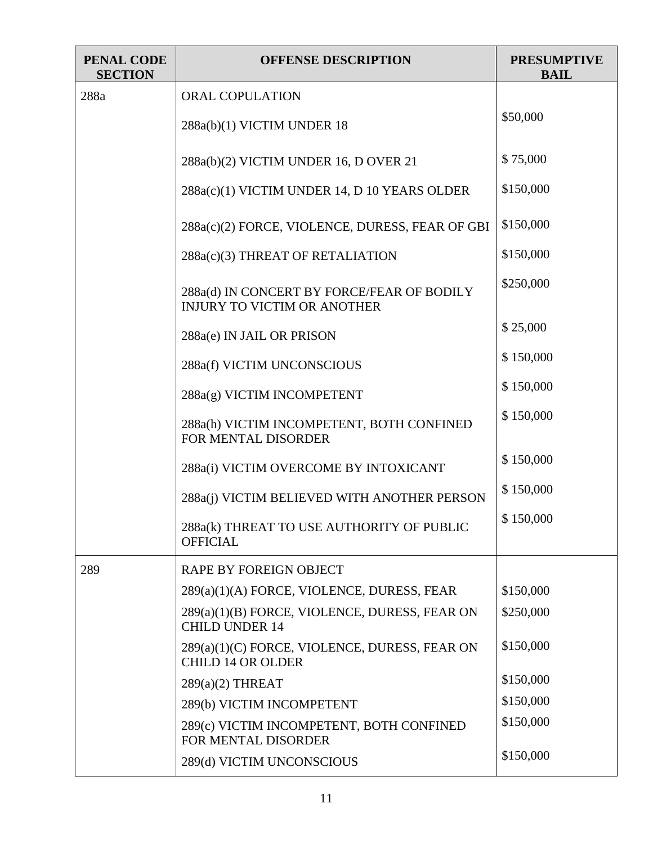| PENAL CODE<br><b>SECTION</b> | <b>OFFENSE DESCRIPTION</b>                                                       | <b>PRESUMPTIVE</b><br><b>BAIL</b> |
|------------------------------|----------------------------------------------------------------------------------|-----------------------------------|
| 288a                         | <b>ORAL COPULATION</b>                                                           |                                   |
|                              | 288a(b)(1) VICTIM UNDER 18                                                       | \$50,000                          |
|                              | 288a(b)(2) VICTIM UNDER 16, D OVER 21                                            | \$75,000                          |
|                              | 288a(c)(1) VICTIM UNDER 14, D 10 YEARS OLDER                                     | \$150,000                         |
|                              | 288a(c)(2) FORCE, VIOLENCE, DURESS, FEAR OF GBI                                  | \$150,000                         |
|                              | 288a(c)(3) THREAT OF RETALIATION                                                 | \$150,000                         |
|                              | 288a(d) IN CONCERT BY FORCE/FEAR OF BODILY<br><b>INJURY TO VICTIM OR ANOTHER</b> | \$250,000                         |
|                              | 288a(e) IN JAIL OR PRISON                                                        | \$25,000                          |
|                              | 288a(f) VICTIM UNCONSCIOUS                                                       | \$150,000                         |
|                              | 288a(g) VICTIM INCOMPETENT                                                       | \$150,000                         |
|                              | 288a(h) VICTIM INCOMPETENT, BOTH CONFINED<br>FOR MENTAL DISORDER                 | \$150,000                         |
|                              | 288a(i) VICTIM OVERCOME BY INTOXICANT                                            | \$150,000                         |
|                              | 288a(j) VICTIM BELIEVED WITH ANOTHER PERSON                                      | \$150,000                         |
|                              | 288a(k) THREAT TO USE AUTHORITY OF PUBLIC<br><b>OFFICIAL</b>                     | \$150,000                         |
| 289                          | RAPE BY FOREIGN OBJECT                                                           |                                   |
|                              | 289(a)(1)(A) FORCE, VIOLENCE, DURESS, FEAR                                       | \$150,000                         |
|                              | 289(a)(1)(B) FORCE, VIOLENCE, DURESS, FEAR ON<br><b>CHILD UNDER 14</b>           | \$250,000                         |
|                              | 289(a)(1)(C) FORCE, VIOLENCE, DURESS, FEAR ON<br><b>CHILD 14 OR OLDER</b>        | \$150,000                         |
|                              | $289(a)(2)$ THREAT                                                               | \$150,000                         |
|                              | 289(b) VICTIM INCOMPETENT                                                        | \$150,000                         |
|                              | 289(c) VICTIM INCOMPETENT, BOTH CONFINED<br>FOR MENTAL DISORDER                  | \$150,000                         |
|                              | 289(d) VICTIM UNCONSCIOUS                                                        | \$150,000                         |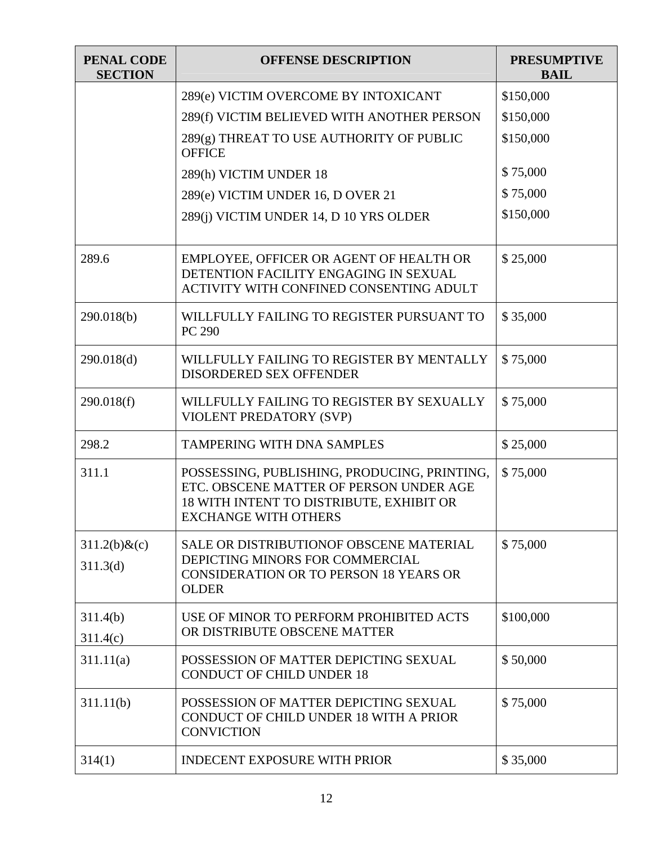| <b>PENAL CODE</b><br><b>SECTION</b> | <b>OFFENSE DESCRIPTION</b>                                                                                                                                         | <b>PRESUMPTIVE</b><br><b>BAIL</b> |
|-------------------------------------|--------------------------------------------------------------------------------------------------------------------------------------------------------------------|-----------------------------------|
|                                     | 289(e) VICTIM OVERCOME BY INTOXICANT                                                                                                                               | \$150,000                         |
|                                     | 289(f) VICTIM BELIEVED WITH ANOTHER PERSON                                                                                                                         | \$150,000                         |
|                                     | 289(g) THREAT TO USE AUTHORITY OF PUBLIC<br><b>OFFICE</b>                                                                                                          | \$150,000                         |
|                                     | 289(h) VICTIM UNDER 18                                                                                                                                             | \$75,000                          |
|                                     | 289(e) VICTIM UNDER 16, D OVER 21                                                                                                                                  | \$75,000                          |
|                                     | 289(j) VICTIM UNDER 14, D 10 YRS OLDER                                                                                                                             | \$150,000                         |
| 289.6                               | EMPLOYEE, OFFICER OR AGENT OF HEALTH OR<br>DETENTION FACILITY ENGAGING IN SEXUAL<br>ACTIVITY WITH CONFINED CONSENTING ADULT                                        | \$25,000                          |
| 290.018(b)                          | WILLFULLY FAILING TO REGISTER PURSUANT TO<br>PC 290                                                                                                                | \$35,000                          |
| 290.018(d)                          | WILLFULLY FAILING TO REGISTER BY MENTALLY<br>DISORDERED SEX OFFENDER                                                                                               | \$75,000                          |
| 290.018(f)                          | WILLFULLY FAILING TO REGISTER BY SEXUALLY<br>VIOLENT PREDATORY (SVP)                                                                                               | \$75,000                          |
| 298.2                               | <b>TAMPERING WITH DNA SAMPLES</b>                                                                                                                                  | \$25,000                          |
| 311.1                               | POSSESSING, PUBLISHING, PRODUCING, PRINTING,<br>ETC. OBSCENE MATTER OF PERSON UNDER AGE<br>18 WITH INTENT TO DISTRIBUTE, EXHIBIT OR<br><b>EXCHANGE WITH OTHERS</b> | \$75,000                          |
| $311.2(b)$ &(c)                     | <b>SALE OR DISTRIBUTIONOF OBSCENE MATERIAL</b>                                                                                                                     | \$75,000                          |
| 311.3 <sub>(d)</sub>                | DEPICTING MINORS FOR COMMERCIAL<br><b>CONSIDERATION OR TO PERSON 18 YEARS OR</b><br><b>OLDER</b>                                                                   |                                   |
| 311.4(b)                            | USE OF MINOR TO PERFORM PROHIBITED ACTS                                                                                                                            | \$100,000                         |
| 311.4(c)                            | OR DISTRIBUTE OBSCENE MATTER                                                                                                                                       |                                   |
| 311.11(a)                           | POSSESSION OF MATTER DEPICTING SEXUAL<br><b>CONDUCT OF CHILD UNDER 18</b>                                                                                          | \$50,000                          |
| 311.11(b)                           | POSSESSION OF MATTER DEPICTING SEXUAL<br><b>CONDUCT OF CHILD UNDER 18 WITH A PRIOR</b><br><b>CONVICTION</b>                                                        | \$75,000                          |
| 314(1)                              | <b>INDECENT EXPOSURE WITH PRIOR</b>                                                                                                                                | \$35,000                          |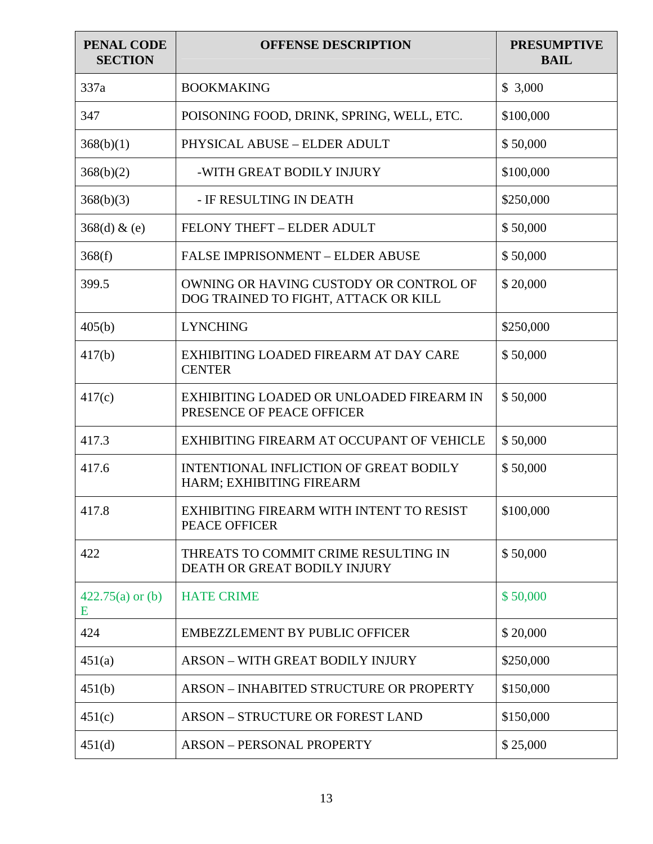| PENAL CODE<br><b>SECTION</b> | <b>OFFENSE DESCRIPTION</b>                                                     | <b>PRESUMPTIVE</b><br><b>BAIL</b> |
|------------------------------|--------------------------------------------------------------------------------|-----------------------------------|
| 337a                         | <b>BOOKMAKING</b>                                                              | \$3,000                           |
| 347                          | POISONING FOOD, DRINK, SPRING, WELL, ETC.                                      | \$100,000                         |
| 368(b)(1)                    | PHYSICAL ABUSE - ELDER ADULT                                                   | \$50,000                          |
| 368(b)(2)                    | -WITH GREAT BODILY INJURY                                                      | \$100,000                         |
| 368(b)(3)                    | - IF RESULTING IN DEATH                                                        | \$250,000                         |
| 368(d) & (e)                 | FELONY THEFT - ELDER ADULT                                                     | \$50,000                          |
| 368(f)                       | <b>FALSE IMPRISONMENT - ELDER ABUSE</b>                                        | \$50,000                          |
| 399.5                        | OWNING OR HAVING CUSTODY OR CONTROL OF<br>DOG TRAINED TO FIGHT, ATTACK OR KILL | \$20,000                          |
| 405(b)                       | <b>LYNCHING</b>                                                                | \$250,000                         |
| 417(b)                       | EXHIBITING LOADED FIREARM AT DAY CARE<br><b>CENTER</b>                         | \$50,000                          |
| 417(c)                       | EXHIBITING LOADED OR UNLOADED FIREARM IN<br>PRESENCE OF PEACE OFFICER          | \$50,000                          |
| 417.3                        | EXHIBITING FIREARM AT OCCUPANT OF VEHICLE                                      | \$50,000                          |
| 417.6                        | INTENTIONAL INFLICTION OF GREAT BODILY<br>HARM; EXHIBITING FIREARM             | \$50,000                          |
| 417.8                        | EXHIBITING FIREARM WITH INTENT TO RESIST<br>PEACE OFFICER                      | \$100,000                         |
| 422                          | THREATS TO COMMIT CRIME RESULTING IN<br>DEATH OR GREAT BODILY INJURY           | \$50,000                          |
| $422.75(a)$ or (b)<br>E      | <b>HATE CRIME</b>                                                              | \$50,000                          |
| 424                          | <b>EMBEZZLEMENT BY PUBLIC OFFICER</b>                                          | \$20,000                          |
| 451(a)                       | <b>ARSON – WITH GREAT BODILY INJURY</b>                                        | \$250,000                         |
| 451(b)                       | <b>ARSON - INHABITED STRUCTURE OR PROPERTY</b>                                 | \$150,000                         |
| 451(c)                       | <b>ARSON - STRUCTURE OR FOREST LAND</b>                                        | \$150,000                         |
| 451(d)                       | <b>ARSON - PERSONAL PROPERTY</b>                                               | \$25,000                          |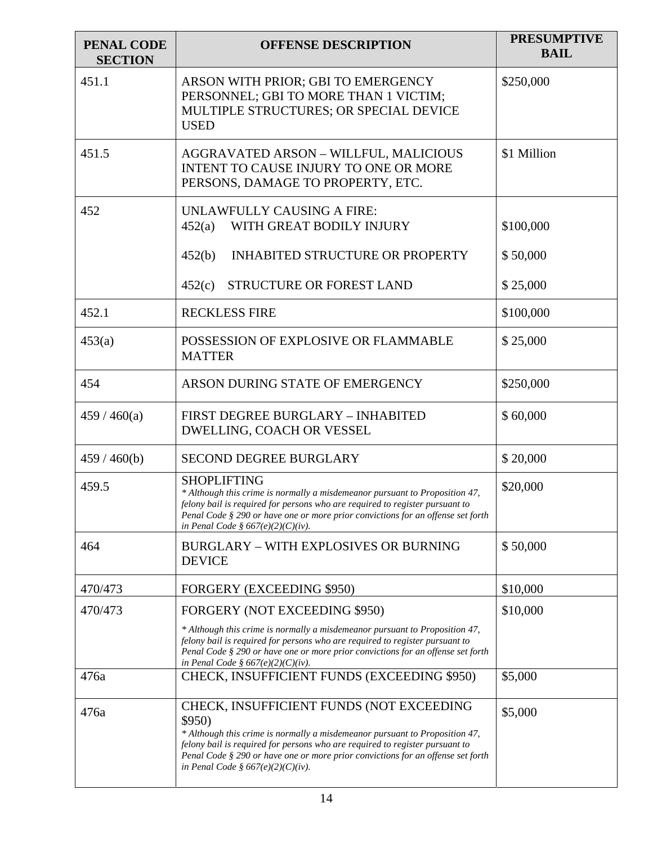| <b>PENAL CODE</b><br><b>SECTION</b> | <b>OFFENSE DESCRIPTION</b>                                                                                                                                                                                                                                                                                                                   | <b>PRESUMPTIVE</b><br><b>BAIL</b> |
|-------------------------------------|----------------------------------------------------------------------------------------------------------------------------------------------------------------------------------------------------------------------------------------------------------------------------------------------------------------------------------------------|-----------------------------------|
| 451.1                               | ARSON WITH PRIOR; GBI TO EMERGENCY<br>PERSONNEL; GBI TO MORE THAN 1 VICTIM;<br>MULTIPLE STRUCTURES; OR SPECIAL DEVICE<br><b>USED</b>                                                                                                                                                                                                         | \$250,000                         |
| 451.5                               | AGGRAVATED ARSON - WILLFUL, MALICIOUS<br>INTENT TO CAUSE INJURY TO ONE OR MORE<br>PERSONS, DAMAGE TO PROPERTY, ETC.                                                                                                                                                                                                                          | \$1 Million                       |
| 452                                 | UNLAWFULLY CAUSING A FIRE:<br>WITH GREAT BODILY INJURY<br>452(a)                                                                                                                                                                                                                                                                             | \$100,000                         |
|                                     | <b>INHABITED STRUCTURE OR PROPERTY</b><br>452(b)                                                                                                                                                                                                                                                                                             | \$50,000                          |
|                                     | STRUCTURE OR FOREST LAND<br>452(c)                                                                                                                                                                                                                                                                                                           | \$25,000                          |
| 452.1                               | <b>RECKLESS FIRE</b>                                                                                                                                                                                                                                                                                                                         | \$100,000                         |
| 453(a)                              | POSSESSION OF EXPLOSIVE OR FLAMMABLE<br><b>MATTER</b>                                                                                                                                                                                                                                                                                        | \$25,000                          |
| 454                                 | ARSON DURING STATE OF EMERGENCY                                                                                                                                                                                                                                                                                                              | \$250,000                         |
| 459/460(a)                          | FIRST DEGREE BURGLARY - INHABITED<br>DWELLING, COACH OR VESSEL                                                                                                                                                                                                                                                                               | \$60,000                          |
| 459/460(b)                          | <b>SECOND DEGREE BURGLARY</b>                                                                                                                                                                                                                                                                                                                | \$20,000                          |
| 459.5                               | <b>SHOPLIFTING</b><br>* Although this crime is normally a misdemeanor pursuant to Proposition 47,<br>felony bail is required for persons who are required to register pursuant to<br>Penal Code § 290 or have one or more prior convictions for an offense set forth<br>in Penal Code § 667(e)(2)(C)(iv).                                    | \$20,000                          |
| 464                                 | <b>BURGLARY - WITH EXPLOSIVES OR BURNING</b><br><b>DEVICE</b>                                                                                                                                                                                                                                                                                | \$50,000                          |
| 470/473                             | <b>FORGERY (EXCEEDING \$950)</b>                                                                                                                                                                                                                                                                                                             | \$10,000                          |
| 470/473                             | FORGERY (NOT EXCEEDING \$950)                                                                                                                                                                                                                                                                                                                | \$10,000                          |
|                                     | * Although this crime is normally a misdemeanor pursuant to Proposition 47,<br>felony bail is required for persons who are required to register pursuant to<br>Penal Code § 290 or have one or more prior convictions for an offense set forth<br>in Penal Code § $667(e)(2)(C)(iv)$ .                                                       |                                   |
| 476a                                | CHECK, INSUFFICIENT FUNDS (EXCEEDING \$950)                                                                                                                                                                                                                                                                                                  | \$5,000                           |
| 476a                                | CHECK, INSUFFICIENT FUNDS (NOT EXCEEDING<br>\$950)<br>* Although this crime is normally a misdemeanor pursuant to Proposition 47,<br>felony bail is required for persons who are required to register pursuant to<br>Penal Code $\S 290$ or have one or more prior convictions for an offense set forth<br>in Penal Code § 667(e)(2)(C)(iv). | \$5,000                           |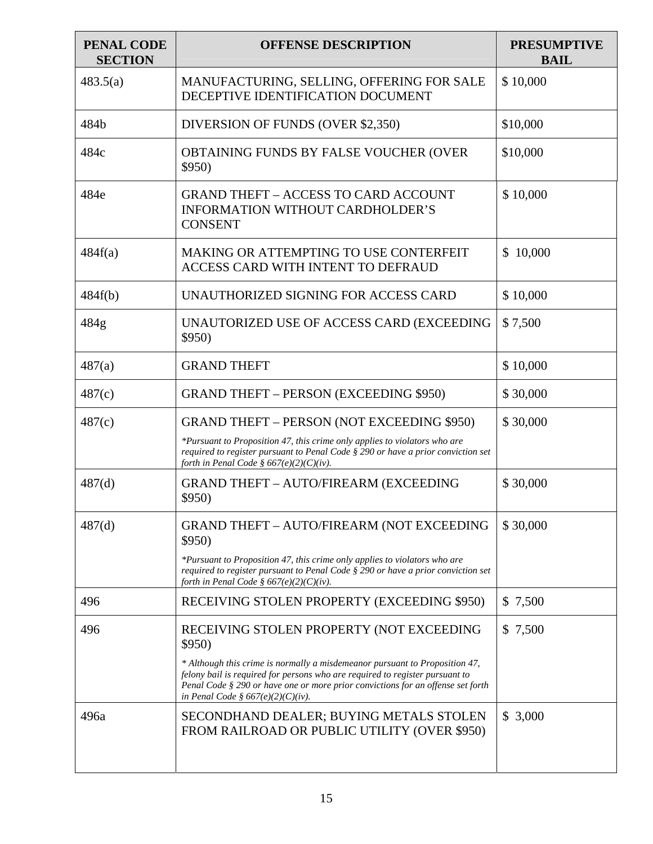| <b>PENAL CODE</b><br><b>SECTION</b> | <b>OFFENSE DESCRIPTION</b>                                                                                                                                                                                                                                                                | <b>PRESUMPTIVE</b><br><b>BAIL</b> |
|-------------------------------------|-------------------------------------------------------------------------------------------------------------------------------------------------------------------------------------------------------------------------------------------------------------------------------------------|-----------------------------------|
| 483.5(a)                            | MANUFACTURING, SELLING, OFFERING FOR SALE<br>DECEPTIVE IDENTIFICATION DOCUMENT                                                                                                                                                                                                            | \$10,000                          |
| 484b                                | DIVERSION OF FUNDS (OVER \$2,350)                                                                                                                                                                                                                                                         | \$10,000                          |
| 484c                                | OBTAINING FUNDS BY FALSE VOUCHER (OVER<br>\$950)                                                                                                                                                                                                                                          | \$10,000                          |
| 484e                                | <b>GRAND THEFT - ACCESS TO CARD ACCOUNT</b><br><b>INFORMATION WITHOUT CARDHOLDER'S</b><br><b>CONSENT</b>                                                                                                                                                                                  | \$10,000                          |
| 484f(a)                             | MAKING OR ATTEMPTING TO USE CONTERFEIT<br><b>ACCESS CARD WITH INTENT TO DEFRAUD</b>                                                                                                                                                                                                       | \$10,000                          |
| 484f(b)                             | UNAUTHORIZED SIGNING FOR ACCESS CARD                                                                                                                                                                                                                                                      | \$10,000                          |
| 484g                                | UNAUTORIZED USE OF ACCESS CARD (EXCEEDING<br>\$950)                                                                                                                                                                                                                                       | \$7,500                           |
| 487(a)                              | <b>GRAND THEFT</b>                                                                                                                                                                                                                                                                        | \$10,000                          |
| 487(c)                              | <b>GRAND THEFT – PERSON (EXCEEDING \$950)</b>                                                                                                                                                                                                                                             | \$30,000                          |
| 487(c)                              | GRAND THEFT - PERSON (NOT EXCEEDING \$950)                                                                                                                                                                                                                                                | \$30,000                          |
|                                     | *Pursuant to Proposition 47, this crime only applies to violators who are<br>required to register pursuant to Penal Code § 290 or have a prior conviction set<br>forth in Penal Code § 667(e)(2)(C)(iv).                                                                                  |                                   |
| 487(d)                              | <b>GRAND THEFT - AUTO/FIREARM (EXCEEDING</b><br>\$950)                                                                                                                                                                                                                                    | \$30,000                          |
| 487(d)                              | GRAND THEFT - AUTO/FIREARM (NOT EXCEEDING<br>\$950)                                                                                                                                                                                                                                       | \$30,000                          |
|                                     | *Pursuant to Proposition 47, this crime only applies to violators who are<br>required to register pursuant to Penal Code § 290 or have a prior conviction set<br>forth in Penal Code § 667(e)(2)(C)(iv).                                                                                  |                                   |
| 496                                 | RECEIVING STOLEN PROPERTY (EXCEEDING \$950)                                                                                                                                                                                                                                               | \$ 7,500                          |
| 496                                 | RECEIVING STOLEN PROPERTY (NOT EXCEEDING<br>\$950)                                                                                                                                                                                                                                        | \$ 7,500                          |
|                                     | * Although this crime is normally a misdemeanor pursuant to Proposition 47,<br>felony bail is required for persons who are required to register pursuant to<br>Penal Code $\S 290$ or have one or more prior convictions for an offense set forth<br>in Penal Code § $667(e)(2)(C)(iv)$ . |                                   |
| 496a                                | SECONDHAND DEALER; BUYING METALS STOLEN<br>FROM RAILROAD OR PUBLIC UTILITY (OVER \$950)                                                                                                                                                                                                   | \$3,000                           |
|                                     |                                                                                                                                                                                                                                                                                           |                                   |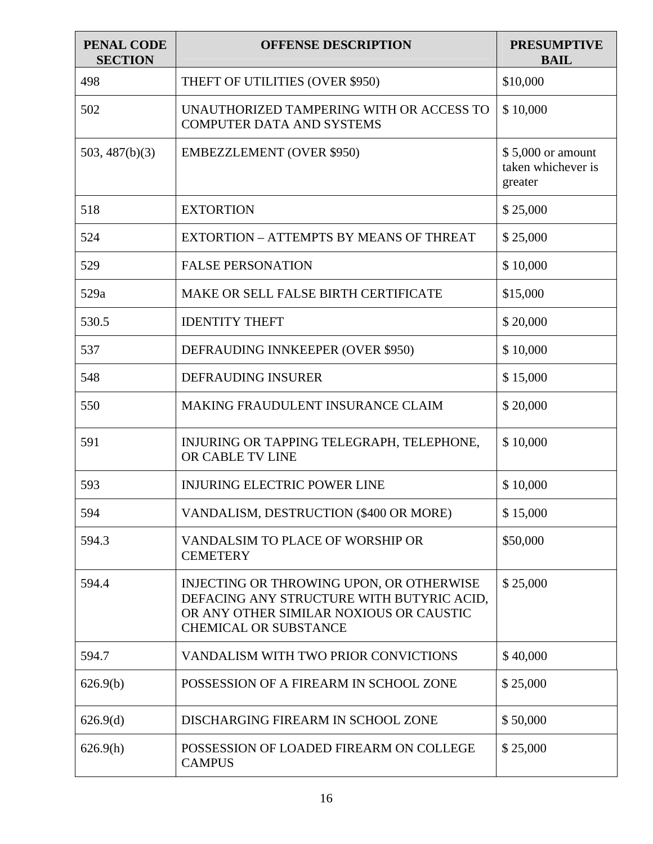| PENAL CODE<br><b>SECTION</b> | <b>OFFENSE DESCRIPTION</b>                                                                                                                                       | <b>PRESUMPTIVE</b><br><b>BAIL</b>                  |
|------------------------------|------------------------------------------------------------------------------------------------------------------------------------------------------------------|----------------------------------------------------|
| 498                          | THEFT OF UTILITIES (OVER \$950)                                                                                                                                  | \$10,000                                           |
| 502                          | UNAUTHORIZED TAMPERING WITH OR ACCESS TO<br><b>COMPUTER DATA AND SYSTEMS</b>                                                                                     | \$10,000                                           |
| 503, 487(b)(3)               | <b>EMBEZZLEMENT (OVER \$950)</b>                                                                                                                                 | \$5,000 or amount<br>taken whichever is<br>greater |
| 518                          | <b>EXTORTION</b>                                                                                                                                                 | \$25,000                                           |
| 524                          | EXTORTION - ATTEMPTS BY MEANS OF THREAT                                                                                                                          | \$25,000                                           |
| 529                          | <b>FALSE PERSONATION</b>                                                                                                                                         | \$10,000                                           |
| 529a                         | MAKE OR SELL FALSE BIRTH CERTIFICATE                                                                                                                             | \$15,000                                           |
| 530.5                        | <b>IDENTITY THEFT</b>                                                                                                                                            | \$20,000                                           |
| 537                          | DEFRAUDING INNKEEPER (OVER \$950)                                                                                                                                | \$10,000                                           |
| 548                          | <b>DEFRAUDING INSURER</b>                                                                                                                                        | \$15,000                                           |
| 550                          | <b>MAKING FRAUDULENT INSURANCE CLAIM</b>                                                                                                                         | \$20,000                                           |
| 591                          | INJURING OR TAPPING TELEGRAPH, TELEPHONE,<br>OR CABLE TV LINE                                                                                                    | \$10,000                                           |
| 593                          | <b>INJURING ELECTRIC POWER LINE</b>                                                                                                                              | \$10,000                                           |
| 594                          | VANDALISM, DESTRUCTION (\$400 OR MORE)                                                                                                                           | \$15,000                                           |
| 594.3                        | VANDALSIM TO PLACE OF WORSHIP OR<br><b>CEMETERY</b>                                                                                                              | \$50,000                                           |
| 594.4                        | INJECTING OR THROWING UPON, OR OTHERWISE<br>DEFACING ANY STRUCTURE WITH BUTYRIC ACID,<br>OR ANY OTHER SIMILAR NOXIOUS OR CAUSTIC<br><b>CHEMICAL OR SUBSTANCE</b> | \$25,000                                           |
| 594.7                        | VANDALISM WITH TWO PRIOR CONVICTIONS                                                                                                                             | \$40,000                                           |
| 626.9(b)                     | POSSESSION OF A FIREARM IN SCHOOL ZONE                                                                                                                           | \$25,000                                           |
| 626.9(d)                     | DISCHARGING FIREARM IN SCHOOL ZONE                                                                                                                               | \$50,000                                           |
| 626.9(h)                     | POSSESSION OF LOADED FIREARM ON COLLEGE<br><b>CAMPUS</b>                                                                                                         | \$25,000                                           |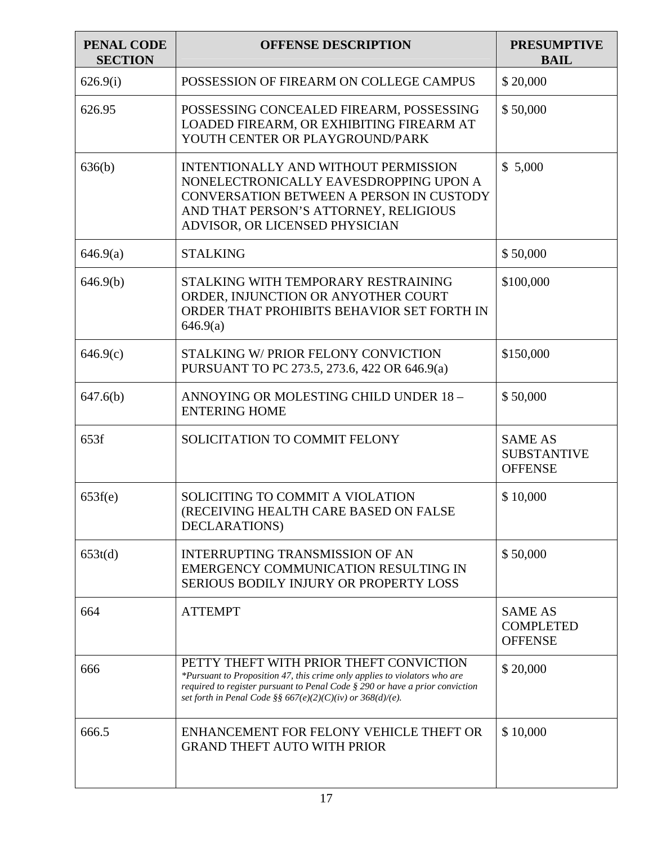| PENAL CODE<br><b>SECTION</b> | <b>OFFENSE DESCRIPTION</b>                                                                                                                                                                                                                                            | <b>PRESUMPTIVE</b><br><b>BAIL</b>                      |
|------------------------------|-----------------------------------------------------------------------------------------------------------------------------------------------------------------------------------------------------------------------------------------------------------------------|--------------------------------------------------------|
| 626.9(i)                     | POSSESSION OF FIREARM ON COLLEGE CAMPUS                                                                                                                                                                                                                               | \$20,000                                               |
| 626.95                       | POSSESSING CONCEALED FIREARM, POSSESSING<br>LOADED FIREARM, OR EXHIBITING FIREARM AT<br>YOUTH CENTER OR PLAYGROUND/PARK                                                                                                                                               | \$50,000                                               |
| 636(b)                       | INTENTIONALLY AND WITHOUT PERMISSION<br>NONELECTRONICALLY EAVESDROPPING UPON A<br>CONVERSATION BETWEEN A PERSON IN CUSTODY<br>AND THAT PERSON'S ATTORNEY, RELIGIOUS<br>ADVISOR, OR LICENSED PHYSICIAN                                                                 | \$5,000                                                |
| 646.9(a)                     | <b>STALKING</b>                                                                                                                                                                                                                                                       | \$50,000                                               |
| 646.9(b)                     | STALKING WITH TEMPORARY RESTRAINING<br>ORDER, INJUNCTION OR ANYOTHER COURT<br>ORDER THAT PROHIBITS BEHAVIOR SET FORTH IN<br>646.9(a)                                                                                                                                  | \$100,000                                              |
| 646.9(c)                     | STALKING W/ PRIOR FELONY CONVICTION<br>PURSUANT TO PC 273.5, 273.6, 422 OR 646.9(a)                                                                                                                                                                                   | \$150,000                                              |
| 647.6(b)                     | ANNOYING OR MOLESTING CHILD UNDER 18-<br><b>ENTERING HOME</b>                                                                                                                                                                                                         | \$50,000                                               |
| 653f                         | SOLICITATION TO COMMIT FELONY                                                                                                                                                                                                                                         | <b>SAME AS</b><br><b>SUBSTANTIVE</b><br><b>OFFENSE</b> |
| 653f(e)                      | SOLICITING TO COMMIT A VIOLATION<br>(RECEIVING HEALTH CARE BASED ON FALSE<br>DECLARATIONS)                                                                                                                                                                            | \$10,000                                               |
| 653t(d)                      | <b>INTERRUPTING TRANSMISSION OF AN</b><br>EMERGENCY COMMUNICATION RESULTING IN<br><b>SERIOUS BODILY INJURY OR PROPERTY LOSS</b>                                                                                                                                       | \$50,000                                               |
| 664                          | <b>ATTEMPT</b>                                                                                                                                                                                                                                                        | <b>SAME AS</b><br><b>COMPLETED</b><br><b>OFFENSE</b>   |
| 666                          | PETTY THEFT WITH PRIOR THEFT CONVICTION<br>*Pursuant to Proposition 47, this crime only applies to violators who are<br>required to register pursuant to Penal Code § 290 or have a prior conviction<br>set forth in Penal Code §§ 667(e)(2)(C)(iv) or $368(d)/(e)$ . | \$20,000                                               |
| 666.5                        | ENHANCEMENT FOR FELONY VEHICLE THEFT OR<br><b>GRAND THEFT AUTO WITH PRIOR</b>                                                                                                                                                                                         | \$10,000                                               |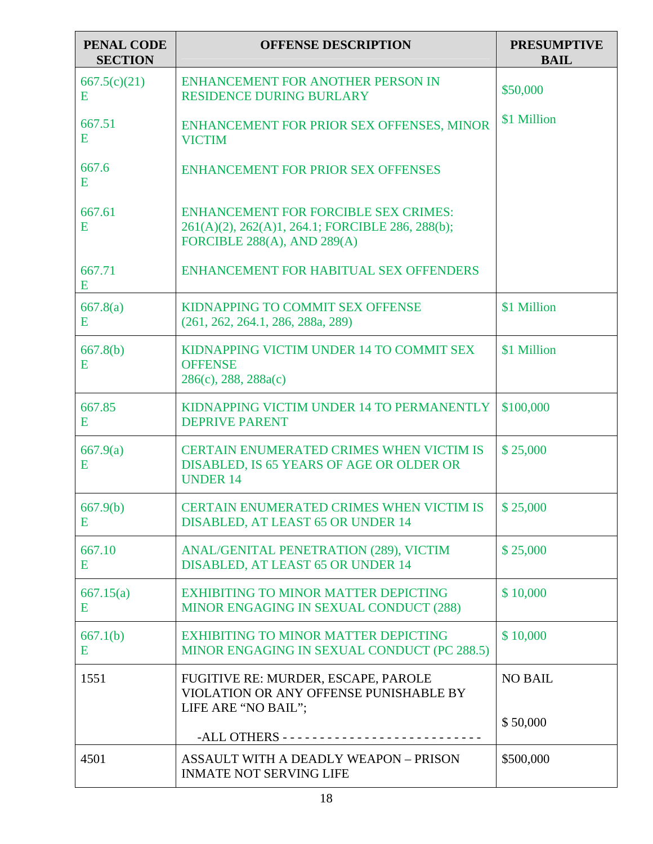| PENAL CODE<br><b>SECTION</b> | <b>OFFENSE DESCRIPTION</b>                                                                                                          | <b>PRESUMPTIVE</b><br><b>BAIL</b> |
|------------------------------|-------------------------------------------------------------------------------------------------------------------------------------|-----------------------------------|
| 667.5(c)(21)<br>E            | ENHANCEMENT FOR ANOTHER PERSON IN<br><b>RESIDENCE DURING BURLARY</b>                                                                | \$50,000                          |
| 667.51<br>E                  | ENHANCEMENT FOR PRIOR SEX OFFENSES, MINOR<br><b>VICTIM</b>                                                                          | \$1 Million                       |
| 667.6<br>E                   | ENHANCEMENT FOR PRIOR SEX OFFENSES                                                                                                  |                                   |
| 667.61<br>E                  | <b>ENHANCEMENT FOR FORCIBLE SEX CRIMES:</b><br>261(A)(2), 262(A)1, 264.1; FORCIBLE 286, 288(b);<br>FORCIBLE $288(A)$ , AND $289(A)$ |                                   |
| 667.71<br>Ε                  | ENHANCEMENT FOR HABITUAL SEX OFFENDERS                                                                                              |                                   |
| 667.8(a)<br>E                | KIDNAPPING TO COMMIT SEX OFFENSE<br>(261, 262, 264.1, 286, 288a, 289)                                                               | \$1 Million                       |
| 667.8(b)<br>E                | KIDNAPPING VICTIM UNDER 14 TO COMMIT SEX<br><b>OFFENSE</b><br>286(c), 288, 288a(c)                                                  | \$1 Million                       |
| 667.85<br>Ε                  | KIDNAPPING VICTIM UNDER 14 TO PERMANENTLY<br><b>DEPRIVE PARENT</b>                                                                  | \$100,000                         |
| 667.9(a)<br>E                | <b>CERTAIN ENUMERATED CRIMES WHEN VICTIM IS</b><br>DISABLED, IS 65 YEARS OF AGE OR OLDER OR<br><b>UNDER 14</b>                      | \$25,000                          |
| 667.9(b)<br>Ε                | CERTAIN ENUMERATED CRIMES WHEN VICTIM IS<br><b>DISABLED, AT LEAST 65 OR UNDER 14</b>                                                | \$25,000                          |
| 667.10<br>E                  | ANAL/GENITAL PENETRATION (289), VICTIM<br>DISABLED, AT LEAST 65 OR UNDER 14                                                         | \$25,000                          |
| 667.15(a)<br>E               | <b>EXHIBITING TO MINOR MATTER DEPICTING</b><br>MINOR ENGAGING IN SEXUAL CONDUCT (288)                                               | \$10,000                          |
| 667.1(b)<br>E                | <b>EXHIBITING TO MINOR MATTER DEPICTING</b><br>MINOR ENGAGING IN SEXUAL CONDUCT (PC 288.5)                                          | \$10,000                          |
| 1551                         | FUGITIVE RE: MURDER, ESCAPE, PAROLE<br>VIOLATION OR ANY OFFENSE PUNISHABLE BY<br>LIFE ARE "NO BAIL";                                | <b>NO BAIL</b>                    |
|                              |                                                                                                                                     | \$50,000                          |
| 4501                         | ASSAULT WITH A DEADLY WEAPON - PRISON<br><b>INMATE NOT SERVING LIFE</b>                                                             | \$500,000                         |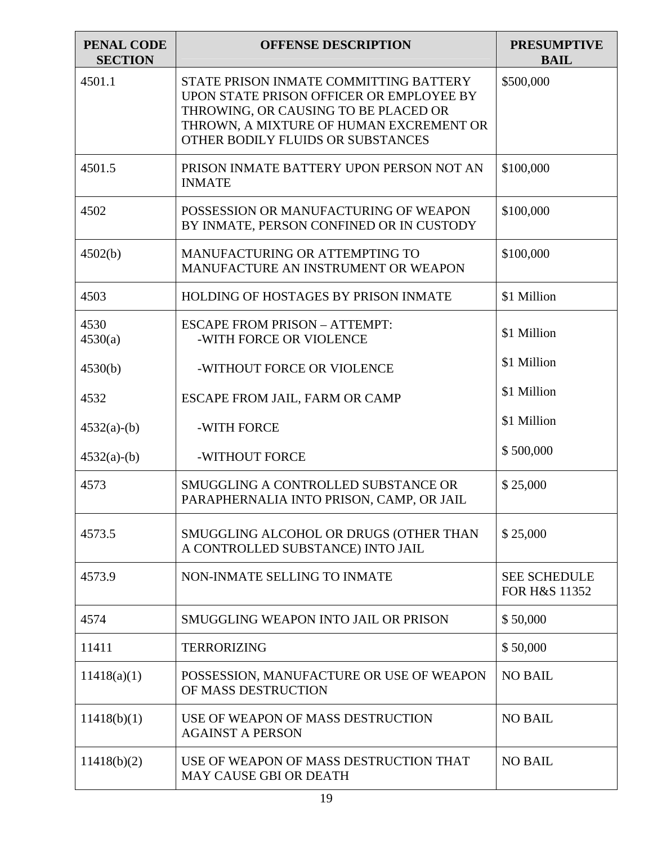| <b>PENAL CODE</b><br><b>SECTION</b> | <b>OFFENSE DESCRIPTION</b>                                                                                                                                                                                 | <b>PRESUMPTIVE</b><br><b>BAIL</b>               |
|-------------------------------------|------------------------------------------------------------------------------------------------------------------------------------------------------------------------------------------------------------|-------------------------------------------------|
| 4501.1                              | STATE PRISON INMATE COMMITTING BATTERY<br>UPON STATE PRISON OFFICER OR EMPLOYEE BY<br>THROWING, OR CAUSING TO BE PLACED OR<br>THROWN, A MIXTURE OF HUMAN EXCREMENT OR<br>OTHER BODILY FLUIDS OR SUBSTANCES | \$500,000                                       |
| 4501.5                              | PRISON INMATE BATTERY UPON PERSON NOT AN<br><b>INMATE</b>                                                                                                                                                  | \$100,000                                       |
| 4502                                | POSSESSION OR MANUFACTURING OF WEAPON<br>BY INMATE, PERSON CONFINED OR IN CUSTODY                                                                                                                          | \$100,000                                       |
| 4502(b)                             | MANUFACTURING OR ATTEMPTING TO<br>MANUFACTURE AN INSTRUMENT OR WEAPON                                                                                                                                      | \$100,000                                       |
| 4503                                | HOLDING OF HOSTAGES BY PRISON INMATE                                                                                                                                                                       | \$1 Million                                     |
| 4530<br>4530(a)                     | <b>ESCAPE FROM PRISON - ATTEMPT:</b><br>-WITH FORCE OR VIOLENCE                                                                                                                                            | \$1 Million                                     |
| 4530(b)                             | -WITHOUT FORCE OR VIOLENCE                                                                                                                                                                                 | \$1 Million                                     |
| 4532                                | ESCAPE FROM JAIL, FARM OR CAMP                                                                                                                                                                             | \$1 Million                                     |
| $4532(a)-(b)$                       | -WITH FORCE                                                                                                                                                                                                | \$1 Million                                     |
| $4532(a)-(b)$                       | -WITHOUT FORCE                                                                                                                                                                                             | \$500,000                                       |
| 4573                                | SMUGGLING A CONTROLLED SUBSTANCE OR<br>PARAPHERNALIA INTO PRISON, CAMP, OR JAIL                                                                                                                            | \$25,000                                        |
| 4573.5                              | SMUGGLING ALCOHOL OR DRUGS (OTHER THAN<br>A CONTROLLED SUBSTANCE) INTO JAIL                                                                                                                                | \$25,000                                        |
| 4573.9                              | NON-INMATE SELLING TO INMATE                                                                                                                                                                               | <b>SEE SCHEDULE</b><br><b>FOR H&amp;S 11352</b> |
| 4574                                | <b>SMUGGLING WEAPON INTO JAIL OR PRISON</b>                                                                                                                                                                | \$50,000                                        |
| 11411                               | <b>TERRORIZING</b>                                                                                                                                                                                         | \$50,000                                        |
| 11418(a)(1)                         | POSSESSION, MANUFACTURE OR USE OF WEAPON<br>OF MASS DESTRUCTION                                                                                                                                            | <b>NO BAIL</b>                                  |
| 11418(b)(1)                         | USE OF WEAPON OF MASS DESTRUCTION<br><b>AGAINST A PERSON</b>                                                                                                                                               | <b>NO BAIL</b>                                  |
| 11418(b)(2)                         | USE OF WEAPON OF MASS DESTRUCTION THAT<br><b>MAY CAUSE GBI OR DEATH</b>                                                                                                                                    | <b>NO BAIL</b>                                  |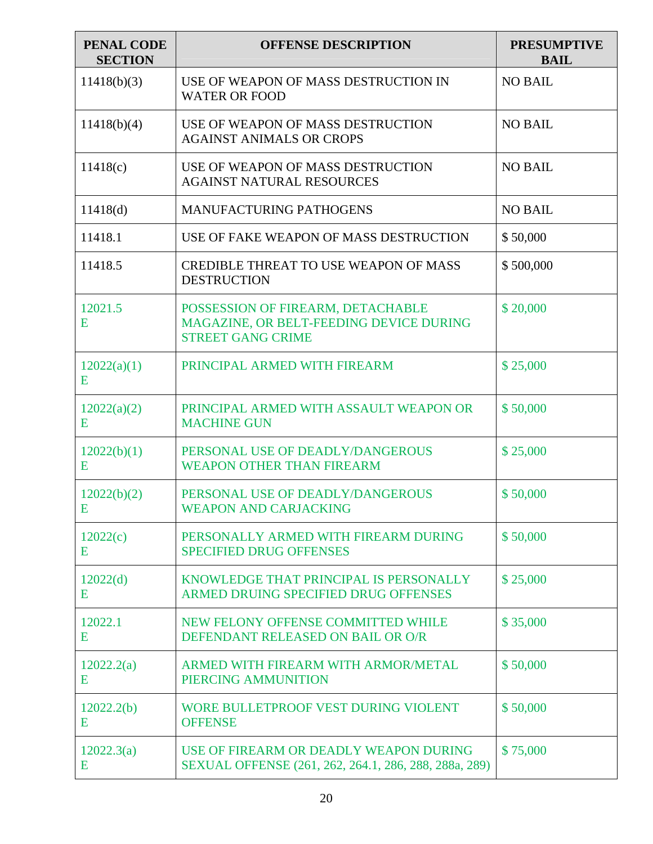| <b>PENAL CODE</b><br><b>SECTION</b> | <b>OFFENSE DESCRIPTION</b>                                                                               | <b>PRESUMPTIVE</b><br><b>BAIL</b> |
|-------------------------------------|----------------------------------------------------------------------------------------------------------|-----------------------------------|
| 11418(b)(3)                         | USE OF WEAPON OF MASS DESTRUCTION IN<br><b>WATER OR FOOD</b>                                             | <b>NO BAIL</b>                    |
| 11418(b)(4)                         | USE OF WEAPON OF MASS DESTRUCTION<br><b>AGAINST ANIMALS OR CROPS</b>                                     | <b>NO BAIL</b>                    |
| 11418(c)                            | USE OF WEAPON OF MASS DESTRUCTION<br><b>AGAINST NATURAL RESOURCES</b>                                    | <b>NO BAIL</b>                    |
| 11418(d)                            | <b>MANUFACTURING PATHOGENS</b>                                                                           | <b>NO BAIL</b>                    |
| 11418.1                             | USE OF FAKE WEAPON OF MASS DESTRUCTION                                                                   | \$50,000                          |
| 11418.5                             | <b>CREDIBLE THREAT TO USE WEAPON OF MASS</b><br><b>DESTRUCTION</b>                                       | \$500,000                         |
| 12021.5<br>E                        | POSSESSION OF FIREARM, DETACHABLE<br>MAGAZINE, OR BELT-FEEDING DEVICE DURING<br><b>STREET GANG CRIME</b> | \$20,000                          |
| 12022(a)(1)<br>Е                    | PRINCIPAL ARMED WITH FIREARM                                                                             | \$25,000                          |
| 12022(a)(2)<br>E                    | PRINCIPAL ARMED WITH ASSAULT WEAPON OR<br><b>MACHINE GUN</b>                                             | \$50,000                          |
| 12022(b)(1)<br>E                    | PERSONAL USE OF DEADLY/DANGEROUS<br><b>WEAPON OTHER THAN FIREARM</b>                                     | \$25,000                          |
| 12022(b)(2)<br>E                    | PERSONAL USE OF DEADLY/DANGEROUS<br><b>WEAPON AND CARJACKING</b>                                         | \$50,000                          |
| 12022(c)<br>Ε                       | PERSONALLY ARMED WITH FIREARM DURING<br><b>SPECIFIED DRUG OFFENSES</b>                                   | \$50,000                          |
| 12022(d)<br>E                       | KNOWLEDGE THAT PRINCIPAL IS PERSONALLY<br>ARMED DRUING SPECIFIED DRUG OFFENSES                           | \$25,000                          |
| 12022.1<br>Ε                        | NEW FELONY OFFENSE COMMITTED WHILE<br>DEFENDANT RELEASED ON BAIL OR O/R                                  | \$35,000                          |
| 12022.2(a)<br>E                     | ARMED WITH FIREARM WITH ARMOR/METAL<br>PIERCING AMMUNITION                                               | \$50,000                          |
| 12022.2(b)<br>E                     | WORE BULLETPROOF VEST DURING VIOLENT<br><b>OFFENSE</b>                                                   | \$50,000                          |
| 12022.3(a)<br>Ε                     | USE OF FIREARM OR DEADLY WEAPON DURING<br>SEXUAL OFFENSE (261, 262, 264.1, 286, 288, 288a, 289)          | \$75,000                          |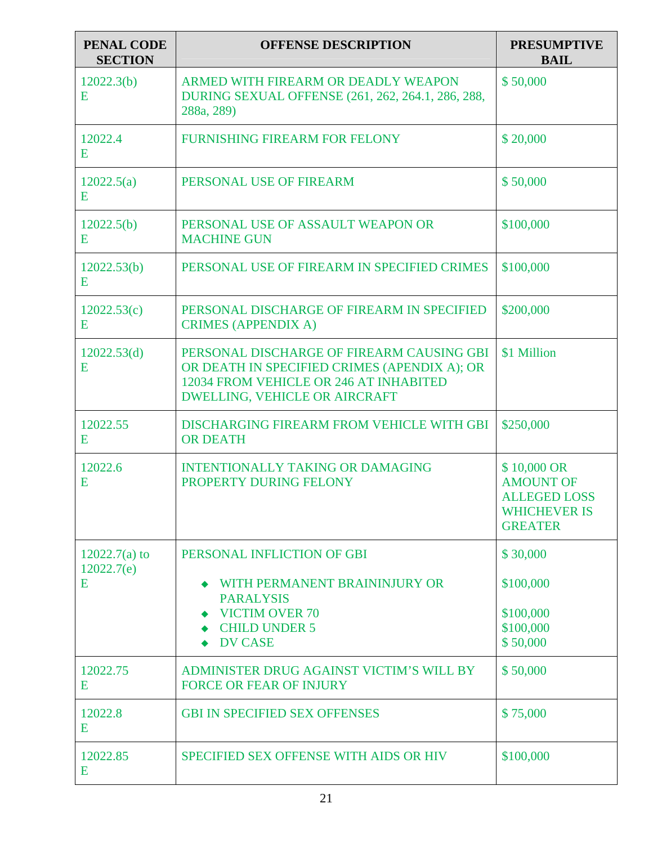| <b>PENAL CODE</b><br><b>SECTION</b> | <b>OFFENSE DESCRIPTION</b>                                                                                                                                                  | <b>PRESUMPTIVE</b><br><b>BAIL</b>                                                               |
|-------------------------------------|-----------------------------------------------------------------------------------------------------------------------------------------------------------------------------|-------------------------------------------------------------------------------------------------|
| 12022.3(b)<br>E                     | ARMED WITH FIREARM OR DEADLY WEAPON<br>DURING SEXUAL OFFENSE (261, 262, 264.1, 286, 288,<br>288a, 289)                                                                      | \$50,000                                                                                        |
| 12022.4<br>Ε                        | <b>FURNISHING FIREARM FOR FELONY</b>                                                                                                                                        | \$20,000                                                                                        |
| 12022.5(a)<br>E                     | PERSONAL USE OF FIREARM                                                                                                                                                     | \$50,000                                                                                        |
| 12022.5(b)<br>E                     | PERSONAL USE OF ASSAULT WEAPON OR<br><b>MACHINE GUN</b>                                                                                                                     | \$100,000                                                                                       |
| 12022.53(b)<br>E                    | PERSONAL USE OF FIREARM IN SPECIFIED CRIMES                                                                                                                                 | \$100,000                                                                                       |
| 12022.53(c)<br>E                    | PERSONAL DISCHARGE OF FIREARM IN SPECIFIED<br><b>CRIMES (APPENDIX A)</b>                                                                                                    | \$200,000                                                                                       |
| 12022.53(d)<br>E                    | PERSONAL DISCHARGE OF FIREARM CAUSING GBI<br>OR DEATH IN SPECIFIED CRIMES (APENDIX A); OR<br>12034 FROM VEHICLE OR 246 AT INHABITED<br><b>DWELLING, VEHICLE OR AIRCRAFT</b> | \$1 Million                                                                                     |
| 12022.55<br>E                       | DISCHARGING FIREARM FROM VEHICLE WITH GBI<br><b>OR DEATH</b>                                                                                                                | \$250,000                                                                                       |
| 12022.6<br>E                        | <b>INTENTIONALLY TAKING OR DAMAGING</b><br>PROPERTY DURING FELONY                                                                                                           | \$10,000 OR<br><b>AMOUNT OF</b><br><b>ALLEGED LOSS</b><br><b>WHICHEVER IS</b><br><b>GREATER</b> |
| $12022.7(a)$ to                     | PERSONAL INFLICTION OF GBI                                                                                                                                                  | \$30,000                                                                                        |
| 12022.7(e)<br>E                     | WITH PERMANENT BRAININJURY OR<br><b>PARALYSIS</b>                                                                                                                           | \$100,000                                                                                       |
|                                     | <b>VICTIM OVER 70</b><br><b>CHILD UNDER 5</b>                                                                                                                               | \$100,000<br>\$100,000                                                                          |
|                                     | <b>DV CASE</b>                                                                                                                                                              | \$50,000                                                                                        |
| 12022.75<br>E                       | ADMINISTER DRUG AGAINST VICTIM'S WILL BY<br><b>FORCE OR FEAR OF INJURY</b>                                                                                                  | \$50,000                                                                                        |
| 12022.8<br>E                        | <b>GBI IN SPECIFIED SEX OFFENSES</b>                                                                                                                                        | \$75,000                                                                                        |
| 12022.85<br>E                       | SPECIFIED SEX OFFENSE WITH AIDS OR HIV                                                                                                                                      | \$100,000                                                                                       |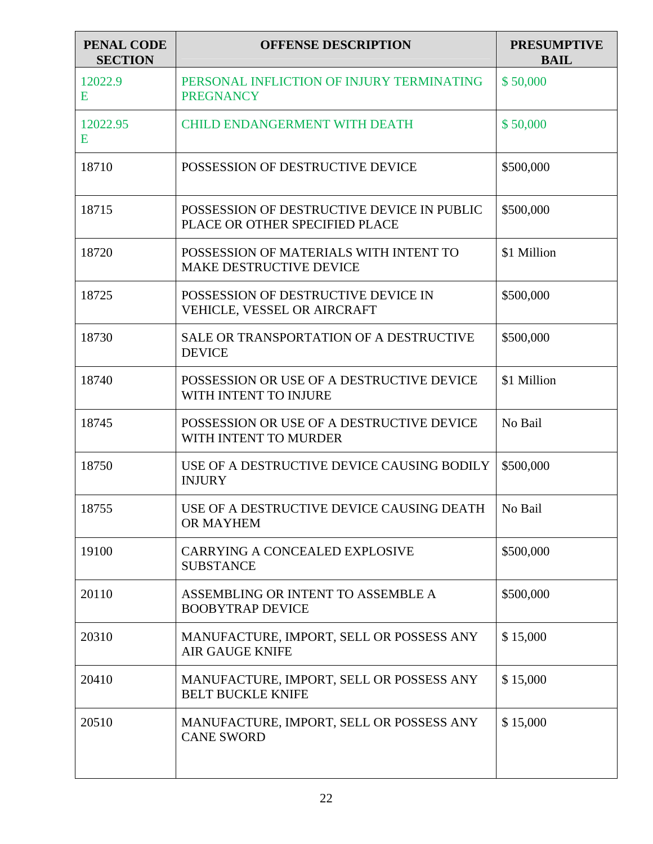| <b>PENAL CODE</b><br><b>SECTION</b> | <b>OFFENSE DESCRIPTION</b>                                                   | <b>PRESUMPTIVE</b><br><b>BAIL</b> |
|-------------------------------------|------------------------------------------------------------------------------|-----------------------------------|
| 12022.9<br>E                        | PERSONAL INFLICTION OF INJURY TERMINATING<br><b>PREGNANCY</b>                | \$50,000                          |
| 12022.95<br>E                       | <b>CHILD ENDANGERMENT WITH DEATH</b>                                         | \$50,000                          |
| 18710                               | POSSESSION OF DESTRUCTIVE DEVICE                                             | \$500,000                         |
| 18715                               | POSSESSION OF DESTRUCTIVE DEVICE IN PUBLIC<br>PLACE OR OTHER SPECIFIED PLACE | \$500,000                         |
| 18720                               | POSSESSION OF MATERIALS WITH INTENT TO<br><b>MAKE DESTRUCTIVE DEVICE</b>     | \$1 Million                       |
| 18725                               | POSSESSION OF DESTRUCTIVE DEVICE IN<br>VEHICLE, VESSEL OR AIRCRAFT           | \$500,000                         |
| 18730                               | SALE OR TRANSPORTATION OF A DESTRUCTIVE<br><b>DEVICE</b>                     | \$500,000                         |
| 18740                               | POSSESSION OR USE OF A DESTRUCTIVE DEVICE<br>WITH INTENT TO INJURE           | \$1 Million                       |
| 18745                               | POSSESSION OR USE OF A DESTRUCTIVE DEVICE<br>WITH INTENT TO MURDER           | No Bail                           |
| 18750                               | USE OF A DESTRUCTIVE DEVICE CAUSING BODILY<br><b>INJURY</b>                  | \$500,000                         |
| 18755                               | USE OF A DESTRUCTIVE DEVICE CAUSING DEATH<br>OR MAYHEM                       | No Bail                           |
| 19100                               | CARRYING A CONCEALED EXPLOSIVE<br><b>SUBSTANCE</b>                           | \$500,000                         |
| 20110                               | ASSEMBLING OR INTENT TO ASSEMBLE A<br><b>BOOBYTRAP DEVICE</b>                | \$500,000                         |
| 20310                               | MANUFACTURE, IMPORT, SELL OR POSSESS ANY<br><b>AIR GAUGE KNIFE</b>           | \$15,000                          |
| 20410                               | MANUFACTURE, IMPORT, SELL OR POSSESS ANY<br><b>BELT BUCKLE KNIFE</b>         | \$15,000                          |
| 20510                               | MANUFACTURE, IMPORT, SELL OR POSSESS ANY<br><b>CANE SWORD</b>                | \$15,000                          |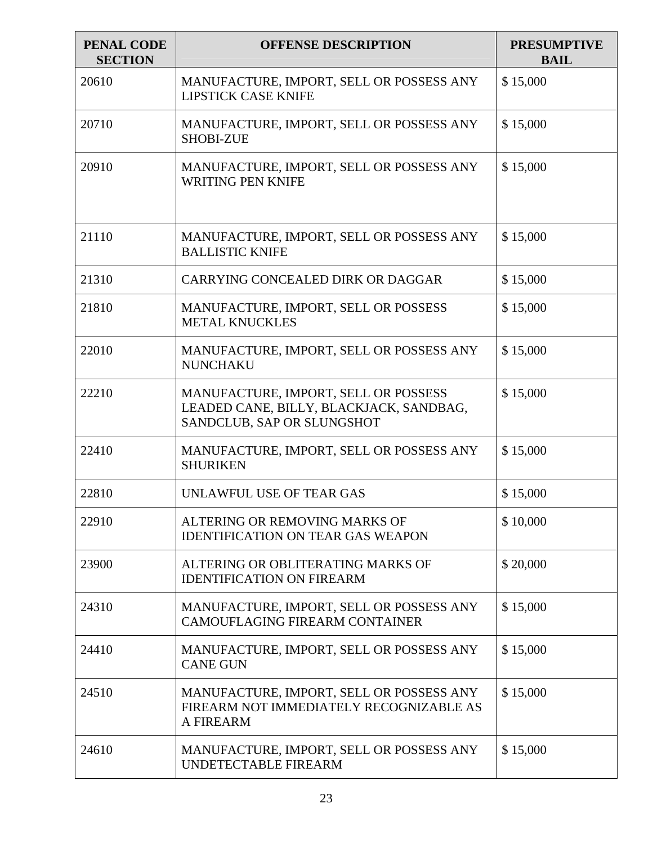| PENAL CODE<br><b>SECTION</b> | <b>OFFENSE DESCRIPTION</b>                                                                                    | <b>PRESUMPTIVE</b><br><b>BAIL</b> |
|------------------------------|---------------------------------------------------------------------------------------------------------------|-----------------------------------|
| 20610                        | MANUFACTURE, IMPORT, SELL OR POSSESS ANY<br><b>LIPSTICK CASE KNIFE</b>                                        | \$15,000                          |
| 20710                        | MANUFACTURE, IMPORT, SELL OR POSSESS ANY<br><b>SHOBI-ZUE</b>                                                  | \$15,000                          |
| 20910                        | MANUFACTURE, IMPORT, SELL OR POSSESS ANY<br><b>WRITING PEN KNIFE</b>                                          | \$15,000                          |
| 21110                        | MANUFACTURE, IMPORT, SELL OR POSSESS ANY<br><b>BALLISTIC KNIFE</b>                                            | \$15,000                          |
| 21310                        | CARRYING CONCEALED DIRK OR DAGGAR                                                                             | \$15,000                          |
| 21810                        | MANUFACTURE, IMPORT, SELL OR POSSESS<br><b>METAL KNUCKLES</b>                                                 | \$15,000                          |
| 22010                        | MANUFACTURE, IMPORT, SELL OR POSSESS ANY<br><b>NUNCHAKU</b>                                                   | \$15,000                          |
| 22210                        | MANUFACTURE, IMPORT, SELL OR POSSESS<br>LEADED CANE, BILLY, BLACKJACK, SANDBAG,<br>SANDCLUB, SAP OR SLUNGSHOT | \$15,000                          |
| 22410                        | MANUFACTURE, IMPORT, SELL OR POSSESS ANY<br><b>SHURIKEN</b>                                                   | \$15,000                          |
| 22810                        | UNLAWFUL USE OF TEAR GAS                                                                                      | \$15,000                          |
| 22910                        | ALTERING OR REMOVING MARKS OF<br><b>IDENTIFICATION ON TEAR GAS WEAPON</b>                                     | \$10,000                          |
| 23900                        | ALTERING OR OBLITERATING MARKS OF<br><b>IDENTIFICATION ON FIREARM</b>                                         | \$20,000                          |
| 24310                        | MANUFACTURE, IMPORT, SELL OR POSSESS ANY<br>CAMOUFLAGING FIREARM CONTAINER                                    | \$15,000                          |
| 24410                        | MANUFACTURE, IMPORT, SELL OR POSSESS ANY<br><b>CANE GUN</b>                                                   | \$15,000                          |
| 24510                        | MANUFACTURE, IMPORT, SELL OR POSSESS ANY<br>FIREARM NOT IMMEDIATELY RECOGNIZABLE AS<br>A FIREARM              | \$15,000                          |
| 24610                        | MANUFACTURE, IMPORT, SELL OR POSSESS ANY<br>UNDETECTABLE FIREARM                                              | \$15,000                          |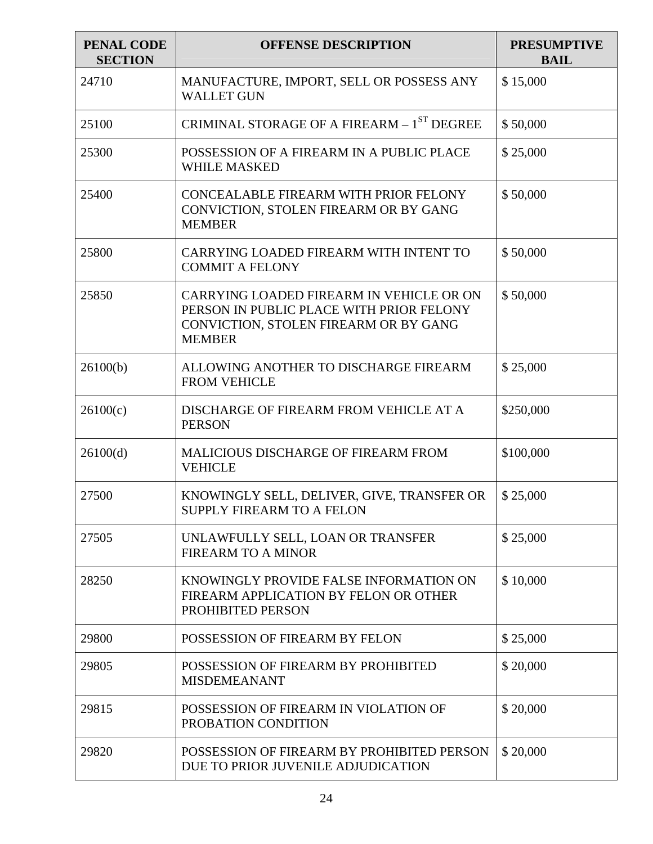| PENAL CODE<br><b>SECTION</b> | <b>OFFENSE DESCRIPTION</b>                                                                                                                     | <b>PRESUMPTIVE</b><br><b>BAIL</b> |
|------------------------------|------------------------------------------------------------------------------------------------------------------------------------------------|-----------------------------------|
| 24710                        | MANUFACTURE, IMPORT, SELL OR POSSESS ANY<br><b>WALLET GUN</b>                                                                                  | \$15,000                          |
| 25100                        | CRIMINAL STORAGE OF A FIREARM - 1 <sup>ST</sup> DEGREE                                                                                         | \$50,000                          |
| 25300                        | POSSESSION OF A FIREARM IN A PUBLIC PLACE<br><b>WHILE MASKED</b>                                                                               | \$25,000                          |
| 25400                        | CONCEALABLE FIREARM WITH PRIOR FELONY<br>CONVICTION, STOLEN FIREARM OR BY GANG<br><b>MEMBER</b>                                                | \$50,000                          |
| 25800                        | CARRYING LOADED FIREARM WITH INTENT TO<br><b>COMMIT A FELONY</b>                                                                               | \$50,000                          |
| 25850                        | CARRYING LOADED FIREARM IN VEHICLE OR ON<br>PERSON IN PUBLIC PLACE WITH PRIOR FELONY<br>CONVICTION, STOLEN FIREARM OR BY GANG<br><b>MEMBER</b> | \$50,000                          |
| 26100(b)                     | ALLOWING ANOTHER TO DISCHARGE FIREARM<br><b>FROM VEHICLE</b>                                                                                   | \$25,000                          |
| 26100(c)                     | DISCHARGE OF FIREARM FROM VEHICLE AT A<br><b>PERSON</b>                                                                                        | \$250,000                         |
| 26100(d)                     | <b>MALICIOUS DISCHARGE OF FIREARM FROM</b><br><b>VEHICLE</b>                                                                                   | \$100,000                         |
| 27500                        | KNOWINGLY SELL, DELIVER, GIVE, TRANSFER OR<br>SUPPLY FIREARM TO A FELON                                                                        | \$25,000                          |
| 27505                        | UNLAWFULLY SELL, LOAN OR TRANSFER<br><b>FIREARM TO A MINOR</b>                                                                                 | \$25,000                          |
| 28250                        | KNOWINGLY PROVIDE FALSE INFORMATION ON<br>FIREARM APPLICATION BY FELON OR OTHER<br>PROHIBITED PERSON                                           | \$10,000                          |
| 29800                        | POSSESSION OF FIREARM BY FELON                                                                                                                 | \$25,000                          |
| 29805                        | POSSESSION OF FIREARM BY PROHIBITED<br><b>MISDEMEANANT</b>                                                                                     | \$20,000                          |
| 29815                        | POSSESSION OF FIREARM IN VIOLATION OF<br>PROBATION CONDITION                                                                                   | \$20,000                          |
| 29820                        | POSSESSION OF FIREARM BY PROHIBITED PERSON<br>DUE TO PRIOR JUVENILE ADJUDICATION                                                               | \$20,000                          |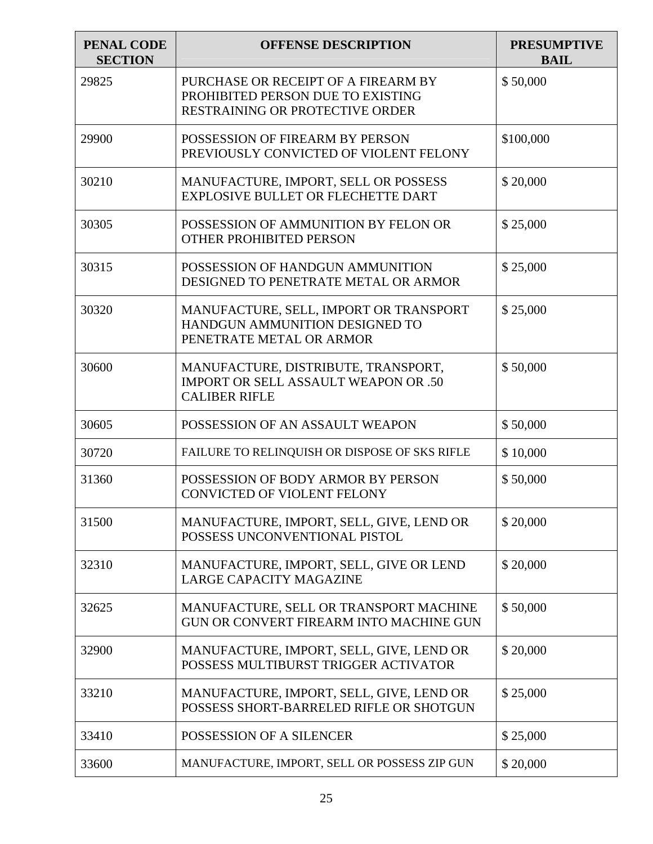| <b>PENAL CODE</b><br><b>SECTION</b> | <b>OFFENSE DESCRIPTION</b>                                                                                  | <b>PRESUMPTIVE</b><br><b>BAIL</b> |
|-------------------------------------|-------------------------------------------------------------------------------------------------------------|-----------------------------------|
| 29825                               | PURCHASE OR RECEIPT OF A FIREARM BY<br>PROHIBITED PERSON DUE TO EXISTING<br>RESTRAINING OR PROTECTIVE ORDER | \$50,000                          |
| 29900                               | POSSESSION OF FIREARM BY PERSON<br>PREVIOUSLY CONVICTED OF VIOLENT FELONY                                   | \$100,000                         |
| 30210                               | MANUFACTURE, IMPORT, SELL OR POSSESS<br><b>EXPLOSIVE BULLET OR FLECHETTE DART</b>                           | \$20,000                          |
| 30305                               | POSSESSION OF AMMUNITION BY FELON OR<br><b>OTHER PROHIBITED PERSON</b>                                      | \$25,000                          |
| 30315                               | POSSESSION OF HANDGUN AMMUNITION<br>DESIGNED TO PENETRATE METAL OR ARMOR                                    | \$25,000                          |
| 30320                               | MANUFACTURE, SELL, IMPORT OR TRANSPORT<br>HANDGUN AMMUNITION DESIGNED TO<br>PENETRATE METAL OR ARMOR        | \$25,000                          |
| 30600                               | MANUFACTURE, DISTRIBUTE, TRANSPORT,<br><b>IMPORT OR SELL ASSAULT WEAPON OR .50</b><br><b>CALIBER RIFLE</b>  | \$50,000                          |
| 30605                               | POSSESSION OF AN ASSAULT WEAPON                                                                             | \$50,000                          |
| 30720                               | FAILURE TO RELINQUISH OR DISPOSE OF SKS RIFLE                                                               | \$10,000                          |
| 31360                               | POSSESSION OF BODY ARMOR BY PERSON<br><b>CONVICTED OF VIOLENT FELONY</b>                                    | \$50,000                          |
| 31500                               | MANUFACTURE, IMPORT, SELL, GIVE, LEND OR<br>POSSESS UNCONVENTIONAL PISTOL                                   | \$20,000                          |
| 32310                               | MANUFACTURE, IMPORT, SELL, GIVE OR LEND<br><b>LARGE CAPACITY MAGAZINE</b>                                   | \$20,000                          |
| 32625                               | MANUFACTURE, SELL OR TRANSPORT MACHINE<br><b>GUN OR CONVERT FIREARM INTO MACHINE GUN</b>                    | \$50,000                          |
| 32900                               | MANUFACTURE, IMPORT, SELL, GIVE, LEND OR<br>POSSESS MULTIBURST TRIGGER ACTIVATOR                            | \$20,000                          |
| 33210                               | MANUFACTURE, IMPORT, SELL, GIVE, LEND OR<br>POSSESS SHORT-BARRELED RIFLE OR SHOTGUN                         | \$25,000                          |
| 33410                               | POSSESSION OF A SILENCER                                                                                    | \$25,000                          |
| 33600                               | MANUFACTURE, IMPORT, SELL OR POSSESS ZIP GUN                                                                | \$20,000                          |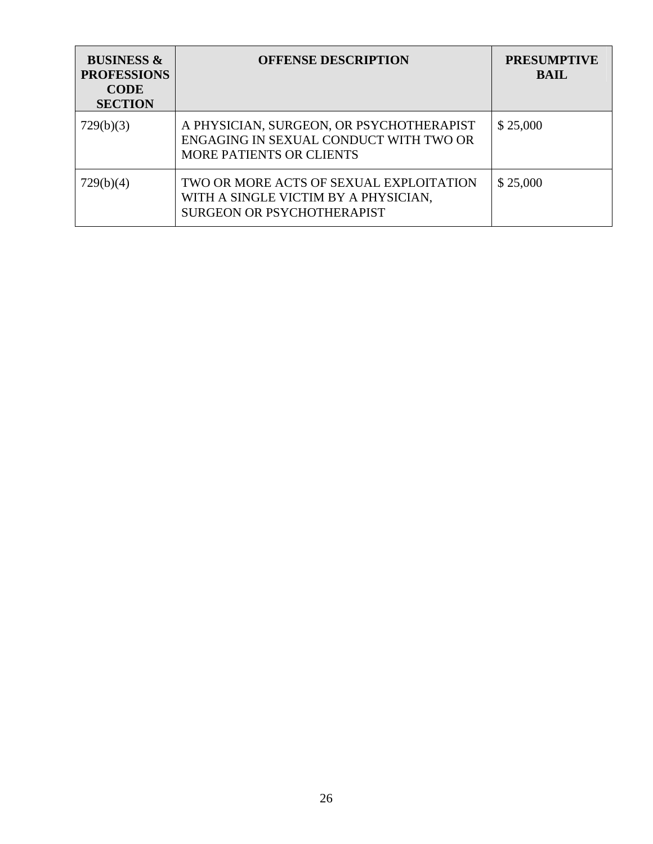| <b>BUSINESS &amp;</b><br><b>PROFESSIONS</b><br><b>CODE</b><br><b>SECTION</b> | <b>OFFENSE DESCRIPTION</b>                                                                                            | <b>PRESUMPTIVE</b><br><b>BAIL</b> |
|------------------------------------------------------------------------------|-----------------------------------------------------------------------------------------------------------------------|-----------------------------------|
| 729(b)(3)                                                                    | A PHYSICIAN, SURGEON, OR PSYCHOTHERAPIST<br>ENGAGING IN SEXUAL CONDUCT WITH TWO OR<br><b>MORE PATIENTS OR CLIENTS</b> | \$25,000                          |
| 729(b)(4)                                                                    | TWO OR MORE ACTS OF SEXUAL EXPLOITATION<br>WITH A SINGLE VICTIM BY A PHYSICIAN,<br><b>SURGEON OR PSYCHOTHERAPIST</b>  | \$25,000                          |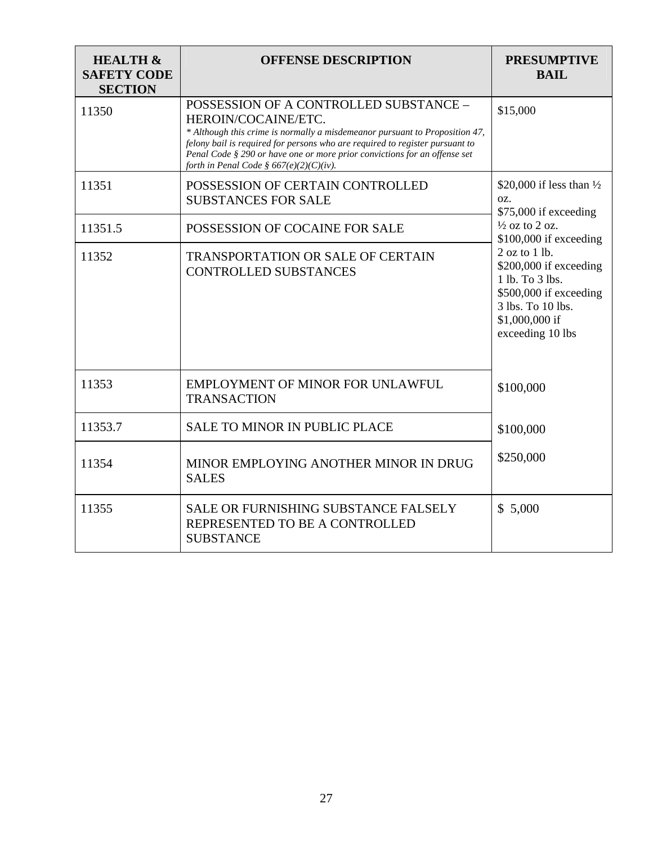| <b>HEALTH &amp;</b><br><b>SAFETY CODE</b><br><b>SECTION</b> | <b>OFFENSE DESCRIPTION</b>                                                                                                                                                                                                                                                                                                                           | <b>PRESUMPTIVE</b><br><b>BAIL</b>                                                                                                               |
|-------------------------------------------------------------|------------------------------------------------------------------------------------------------------------------------------------------------------------------------------------------------------------------------------------------------------------------------------------------------------------------------------------------------------|-------------------------------------------------------------------------------------------------------------------------------------------------|
| 11350                                                       | POSSESSION OF A CONTROLLED SUBSTANCE -<br>HEROIN/COCAINE/ETC.<br>* Although this crime is normally a misdemeanor pursuant to Proposition 47,<br>felony bail is required for persons who are required to register pursuant to<br>Penal Code § 290 or have one or more prior convictions for an offense set<br>forth in Penal Code § 667(e)(2)(C)(iv). | \$15,000                                                                                                                                        |
| 11351                                                       | POSSESSION OF CERTAIN CONTROLLED<br><b>SUBSTANCES FOR SALE</b>                                                                                                                                                                                                                                                                                       | \$20,000 if less than $\frac{1}{2}$<br>OZ.<br>\$75,000 if exceeding                                                                             |
| 11351.5                                                     | POSSESSION OF COCAINE FOR SALE                                                                                                                                                                                                                                                                                                                       | $\frac{1}{2}$ oz to 2 oz.<br>$$100,000$ if exceeding                                                                                            |
| 11352                                                       | <b>TRANSPORTATION OR SALE OF CERTAIN</b><br><b>CONTROLLED SUBSTANCES</b>                                                                                                                                                                                                                                                                             | 2 oz to 1 lb.<br>\$200,000 if exceeding<br>1 lb. To 3 lbs.<br>\$500,000 if exceeding<br>3 lbs. To 10 lbs.<br>\$1,000,000 if<br>exceeding 10 lbs |
| 11353                                                       | <b>EMPLOYMENT OF MINOR FOR UNLAWFUL</b><br><b>TRANSACTION</b>                                                                                                                                                                                                                                                                                        | \$100,000                                                                                                                                       |
| 11353.7                                                     | <b>SALE TO MINOR IN PUBLIC PLACE</b>                                                                                                                                                                                                                                                                                                                 | \$100,000                                                                                                                                       |
| 11354                                                       | MINOR EMPLOYING ANOTHER MINOR IN DRUG<br><b>SALES</b>                                                                                                                                                                                                                                                                                                | \$250,000                                                                                                                                       |
| 11355                                                       | SALE OR FURNISHING SUBSTANCE FALSELY<br>REPRESENTED TO BE A CONTROLLED<br><b>SUBSTANCE</b>                                                                                                                                                                                                                                                           | \$5,000                                                                                                                                         |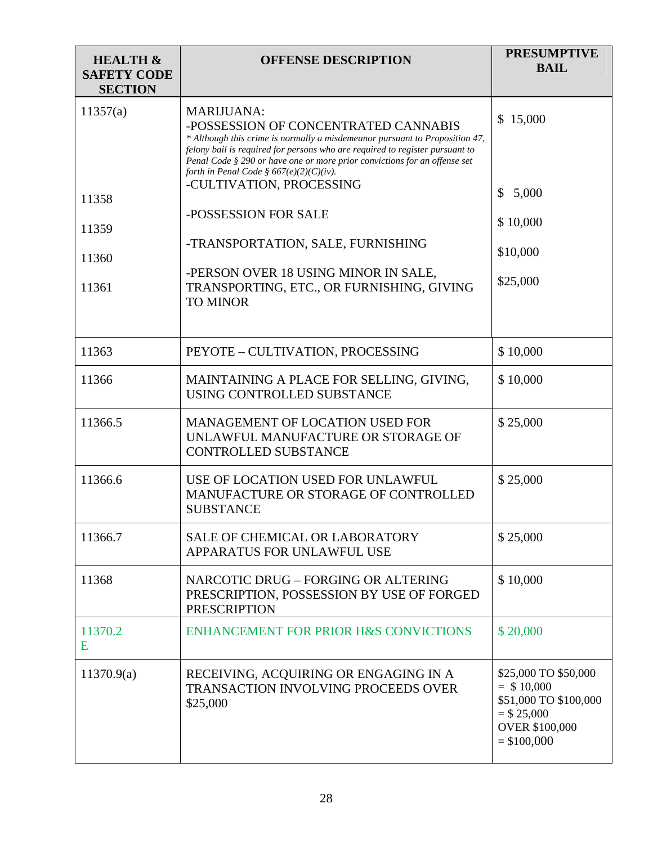| <b>HEALTH &amp;</b><br><b>SAFETY CODE</b><br><b>SECTION</b> | <b>OFFENSE DESCRIPTION</b>                                                                                                                                                                                                                                                                                                                                                                                                                                                                                                                           | <b>PRESUMPTIVE</b><br><b>BAIL</b>                                                                                      |
|-------------------------------------------------------------|------------------------------------------------------------------------------------------------------------------------------------------------------------------------------------------------------------------------------------------------------------------------------------------------------------------------------------------------------------------------------------------------------------------------------------------------------------------------------------------------------------------------------------------------------|------------------------------------------------------------------------------------------------------------------------|
| 11357(a)<br>11358<br>11359<br>11360<br>11361                | <b>MARIJUANA:</b><br>-POSSESSION OF CONCENTRATED CANNABIS<br>* Although this crime is normally a misdemeanor pursuant to Proposition 47,<br>felony bail is required for persons who are required to register pursuant to<br>Penal Code § 290 or have one or more prior convictions for an offense set<br>forth in Penal Code § $667(e)(2)(C)(iv)$ .<br>-CULTIVATION, PROCESSING<br>-POSSESSION FOR SALE<br>-TRANSPORTATION, SALE, FURNISHING<br>-PERSON OVER 18 USING MINOR IN SALE,<br>TRANSPORTING, ETC., OR FURNISHING, GIVING<br><b>TO MINOR</b> | \$15,000<br>\$5,000<br>\$10,000<br>\$10,000<br>\$25,000                                                                |
| 11363                                                       | PEYOTE - CULTIVATION, PROCESSING                                                                                                                                                                                                                                                                                                                                                                                                                                                                                                                     | \$10,000                                                                                                               |
| 11366                                                       | MAINTAINING A PLACE FOR SELLING, GIVING,<br>USING CONTROLLED SUBSTANCE                                                                                                                                                                                                                                                                                                                                                                                                                                                                               | \$10,000                                                                                                               |
| 11366.5                                                     | <b>MANAGEMENT OF LOCATION USED FOR</b><br>UNLAWFUL MANUFACTURE OR STORAGE OF<br><b>CONTROLLED SUBSTANCE</b>                                                                                                                                                                                                                                                                                                                                                                                                                                          | \$25,000                                                                                                               |
| 11366.6                                                     | USE OF LOCATION USED FOR UNLAWFUL<br>MANUFACTURE OR STORAGE OF CONTROLLED<br><b>SUBSTANCE</b>                                                                                                                                                                                                                                                                                                                                                                                                                                                        | \$25,000                                                                                                               |
| 11366.7                                                     | <b>SALE OF CHEMICAL OR LABORATORY</b><br>APPARATUS FOR UNLAWFUL USE                                                                                                                                                                                                                                                                                                                                                                                                                                                                                  | \$25,000                                                                                                               |
| 11368                                                       | NARCOTIC DRUG - FORGING OR ALTERING<br>PRESCRIPTION, POSSESSION BY USE OF FORGED<br><b>PRESCRIPTION</b>                                                                                                                                                                                                                                                                                                                                                                                                                                              | \$10,000                                                                                                               |
| 11370.2<br>E                                                | <b>ENHANCEMENT FOR PRIOR H&amp;S CONVICTIONS</b>                                                                                                                                                                                                                                                                                                                                                                                                                                                                                                     | \$20,000                                                                                                               |
| 11370.9(a)                                                  | RECEIVING, ACQUIRING OR ENGAGING IN A<br>TRANSACTION INVOLVING PROCEEDS OVER<br>\$25,000                                                                                                                                                                                                                                                                                                                                                                                                                                                             | \$25,000 TO \$50,000<br>$=$ \$10,000<br>\$51,000 TO \$100,000<br>$= $25,000$<br><b>OVER \$100,000</b><br>$=$ \$100,000 |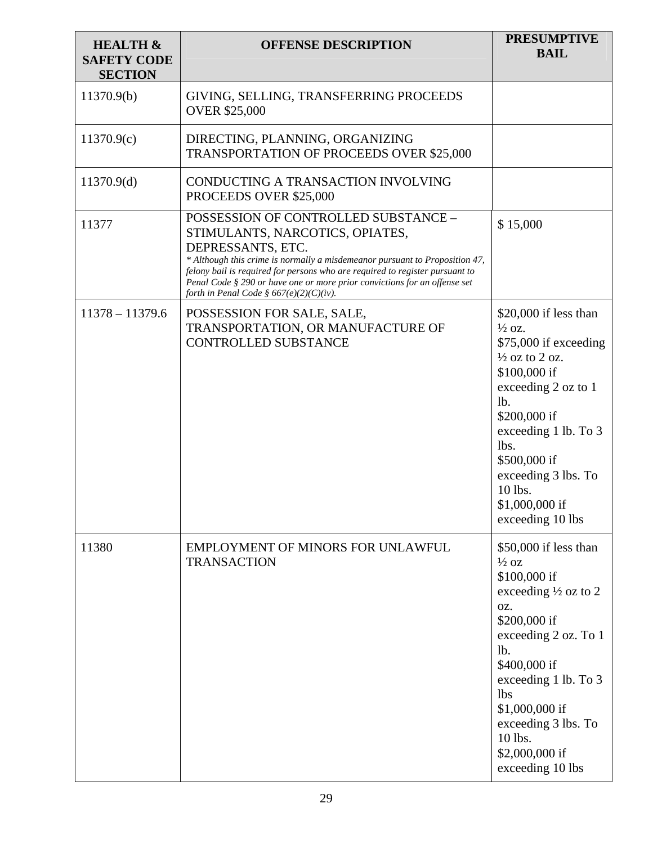| <b>HEALTH &amp;</b><br><b>SAFETY CODE</b><br><b>SECTION</b> | <b>OFFENSE DESCRIPTION</b>                                                                                                                                                                                                                                                                                                                                                          | <b>PRESUMPTIVE</b><br><b>BAIL</b>                                                                                                                                                                                                                                                                  |
|-------------------------------------------------------------|-------------------------------------------------------------------------------------------------------------------------------------------------------------------------------------------------------------------------------------------------------------------------------------------------------------------------------------------------------------------------------------|----------------------------------------------------------------------------------------------------------------------------------------------------------------------------------------------------------------------------------------------------------------------------------------------------|
| 11370.9(b)                                                  | GIVING, SELLING, TRANSFERRING PROCEEDS<br><b>OVER \$25,000</b>                                                                                                                                                                                                                                                                                                                      |                                                                                                                                                                                                                                                                                                    |
| 11370.9(c)                                                  | DIRECTING, PLANNING, ORGANIZING<br><b>TRANSPORTATION OF PROCEEDS OVER \$25,000</b>                                                                                                                                                                                                                                                                                                  |                                                                                                                                                                                                                                                                                                    |
| 11370.9(d)                                                  | CONDUCTING A TRANSACTION INVOLVING<br>PROCEEDS OVER \$25,000                                                                                                                                                                                                                                                                                                                        |                                                                                                                                                                                                                                                                                                    |
| 11377                                                       | POSSESSION OF CONTROLLED SUBSTANCE -<br>STIMULANTS, NARCOTICS, OPIATES,<br>DEPRESSANTS, ETC.<br>* Although this crime is normally a misdemeanor pursuant to Proposition 47,<br>felony bail is required for persons who are required to register pursuant to<br>Penal Code § 290 or have one or more prior convictions for an offense set<br>forth in Penal Code § 667(e)(2)(C)(iv). | \$15,000                                                                                                                                                                                                                                                                                           |
| $11378 - 11379.6$                                           | POSSESSION FOR SALE, SALE,<br>TRANSPORTATION, OR MANUFACTURE OF<br><b>CONTROLLED SUBSTANCE</b>                                                                                                                                                                                                                                                                                      | $$20,000$ if less than<br>$\frac{1}{2}$ oz.<br>\$75,000 if exceeding<br>$\frac{1}{2}$ oz to 2 oz.<br>\$100,000 if<br>exceeding 2 oz to 1<br>lb.<br>\$200,000 if<br>exceeding 1 lb. To 3<br>lbs.<br>\$500,000 if<br>exceeding 3 lbs. To<br>10 lbs.<br>\$1,000,000 if<br>exceeding 10 lbs            |
| 11380                                                       | EMPLOYMENT OF MINORS FOR UNLAWFUL<br><b>TRANSACTION</b>                                                                                                                                                                                                                                                                                                                             | \$50,000 if less than<br>$\frac{1}{2}$ OZ<br>\$100,000 if<br>exceeding $\frac{1}{2}$ oz to 2<br>OZ.<br>\$200,000 if<br>exceeding 2 oz. To 1<br>lb.<br>\$400,000 if<br>exceeding 1 lb. To 3<br><b>lbs</b><br>\$1,000,000 if<br>exceeding 3 lbs. To<br>10 lbs.<br>\$2,000,000 if<br>exceeding 10 lbs |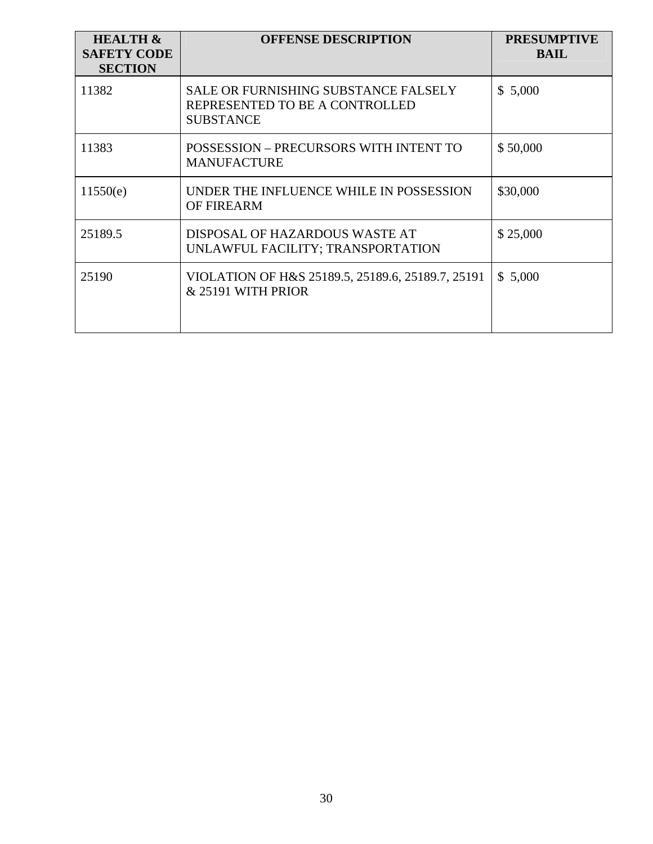| <b>HEALTH &amp;</b><br><b>SAFETY CODE</b><br><b>SECTION</b> | <b>OFFENSE DESCRIPTION</b>                                                                        | <b>PRESUMPTIVE</b><br><b>BAIL</b> |
|-------------------------------------------------------------|---------------------------------------------------------------------------------------------------|-----------------------------------|
| 11382                                                       | <b>SALE OR FURNISHING SUBSTANCE FALSELY</b><br>REPRESENTED TO BE A CONTROLLED<br><b>SUBSTANCE</b> | \$5,000                           |
| 11383                                                       | POSSESSION - PRECURSORS WITH INTENT TO<br><b>MANUFACTURE</b>                                      | \$50,000                          |
| 11550(e)                                                    | UNDER THE INFLUENCE WHILE IN POSSESSION<br><b>OF FIREARM</b>                                      | \$30,000                          |
| 25189.5                                                     | DISPOSAL OF HAZARDOUS WASTE AT<br>UNLAWFUL FACILITY; TRANSPORTATION                               | \$25,000                          |
| 25190                                                       | VIOLATION OF H&S 25189.5, 25189.6, 25189.7, 25191<br>& 25191 WITH PRIOR                           | \$5,000                           |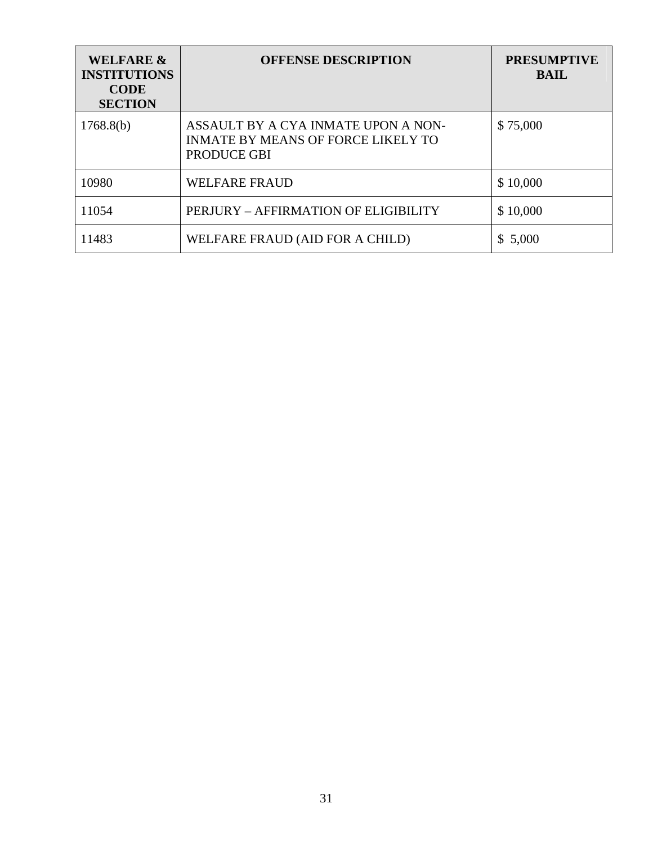| <b>WELFARE &amp;</b><br><b>INSTITUTIONS</b><br><b>CODE</b><br><b>SECTION</b> | <b>OFFENSE DESCRIPTION</b>                                                                      | <b>PRESUMPTIVE</b><br><b>BAIL</b> |
|------------------------------------------------------------------------------|-------------------------------------------------------------------------------------------------|-----------------------------------|
| 1768.8(b)                                                                    | ASSAULT BY A CYA INMATE UPON A NON-<br><b>INMATE BY MEANS OF FORCE LIKELY TO</b><br>PRODUCE GBI | \$75,000                          |
| 10980                                                                        | <b>WELFARE FRAUD</b>                                                                            | \$10,000                          |
| 11054                                                                        | PERJURY – AFFIRMATION OF ELIGIBILITY                                                            | \$10,000                          |
| 11483                                                                        | WELFARE FRAUD (AID FOR A CHILD)                                                                 | \$5,000                           |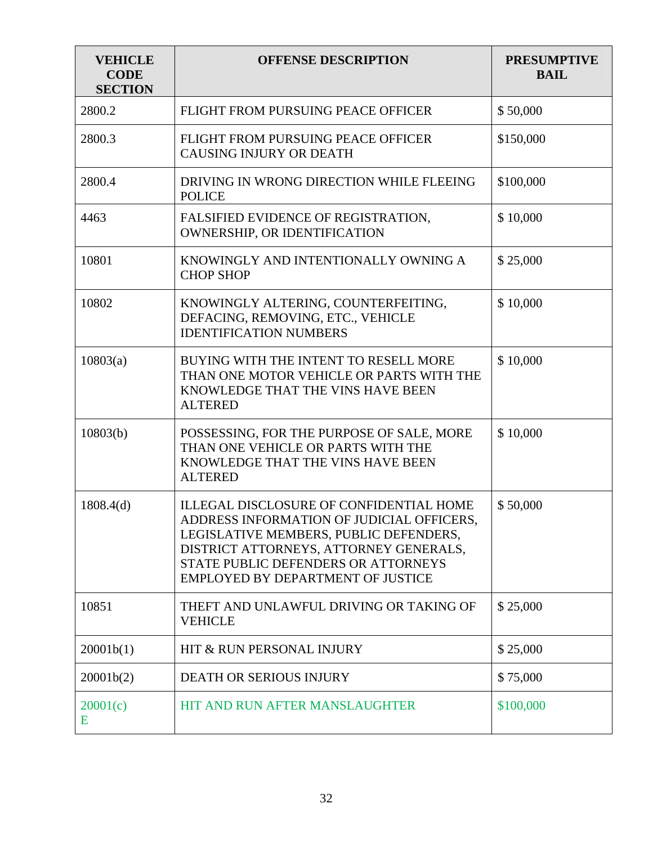| <b>VEHICLE</b><br><b>CODE</b><br><b>SECTION</b> | <b>OFFENSE DESCRIPTION</b>                                                                                                                                                                                                                           | <b>PRESUMPTIVE</b><br><b>BAIL</b> |
|-------------------------------------------------|------------------------------------------------------------------------------------------------------------------------------------------------------------------------------------------------------------------------------------------------------|-----------------------------------|
| 2800.2                                          | FLIGHT FROM PURSUING PEACE OFFICER                                                                                                                                                                                                                   | \$50,000                          |
| 2800.3                                          | FLIGHT FROM PURSUING PEACE OFFICER<br><b>CAUSING INJURY OR DEATH</b>                                                                                                                                                                                 | \$150,000                         |
| 2800.4                                          | DRIVING IN WRONG DIRECTION WHILE FLEEING<br><b>POLICE</b>                                                                                                                                                                                            | \$100,000                         |
| 4463                                            | FALSIFIED EVIDENCE OF REGISTRATION,<br>OWNERSHIP, OR IDENTIFICATION                                                                                                                                                                                  | \$10,000                          |
| 10801                                           | KNOWINGLY AND INTENTIONALLY OWNING A<br><b>CHOP SHOP</b>                                                                                                                                                                                             | \$25,000                          |
| 10802                                           | KNOWINGLY ALTERING, COUNTERFEITING,<br>DEFACING, REMOVING, ETC., VEHICLE<br><b>IDENTIFICATION NUMBERS</b>                                                                                                                                            | \$10,000                          |
| 10803(a)                                        | BUYING WITH THE INTENT TO RESELL MORE<br>THAN ONE MOTOR VEHICLE OR PARTS WITH THE<br>KNOWLEDGE THAT THE VINS HAVE BEEN<br><b>ALTERED</b>                                                                                                             | \$10,000                          |
| 10803(b)                                        | POSSESSING, FOR THE PURPOSE OF SALE, MORE<br>THAN ONE VEHICLE OR PARTS WITH THE<br>KNOWLEDGE THAT THE VINS HAVE BEEN<br><b>ALTERED</b>                                                                                                               | \$10,000                          |
| 1808.4(d)                                       | ILLEGAL DISCLOSURE OF CONFIDENTIAL HOME<br>ADDRESS INFORMATION OF JUDICIAL OFFICERS.<br>LEGISLATIVE MEMBERS, PUBLIC DEFENDERS,<br>DISTRICT ATTORNEYS, ATTORNEY GENERALS,<br>STATE PUBLIC DEFENDERS OR ATTORNEYS<br>EMPLOYED BY DEPARTMENT OF JUSTICE | \$50,000                          |
| 10851                                           | THEFT AND UNLAWFUL DRIVING OR TAKING OF<br><b>VEHICLE</b>                                                                                                                                                                                            | \$25,000                          |
| 20001b(1)                                       | HIT & RUN PERSONAL INJURY                                                                                                                                                                                                                            | \$25,000                          |
| 20001b(2)                                       | <b>DEATH OR SERIOUS INJURY</b>                                                                                                                                                                                                                       | \$75,000                          |
| 20001(c)<br>E                                   | HIT AND RUN AFTER MANSLAUGHTER                                                                                                                                                                                                                       | \$100,000                         |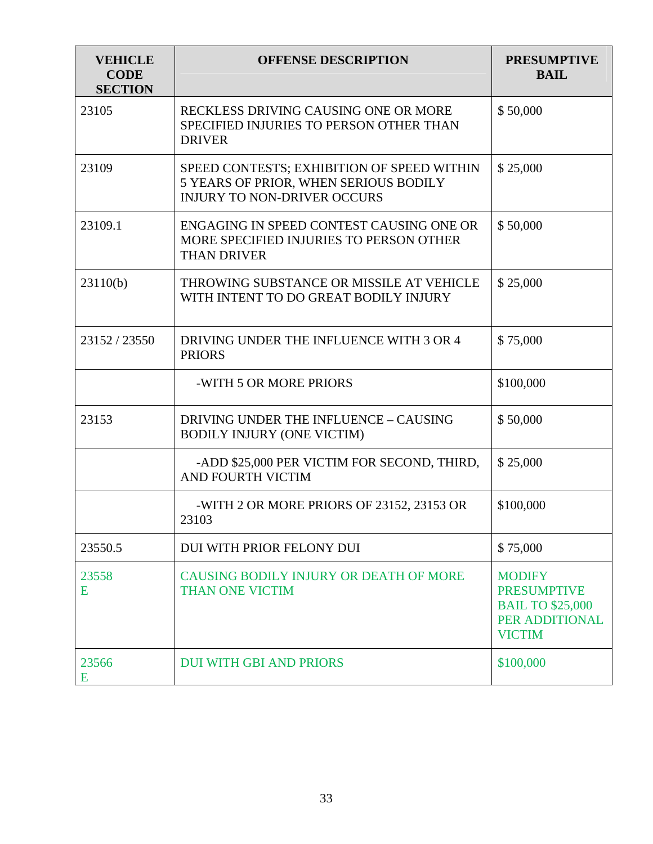| <b>VEHICLE</b><br><b>CODE</b><br><b>SECTION</b> | <b>OFFENSE DESCRIPTION</b>                                                                                                | <b>PRESUMPTIVE</b><br><b>BAIL</b>                                                                 |
|-------------------------------------------------|---------------------------------------------------------------------------------------------------------------------------|---------------------------------------------------------------------------------------------------|
| 23105                                           | RECKLESS DRIVING CAUSING ONE OR MORE<br>SPECIFIED INJURIES TO PERSON OTHER THAN<br><b>DRIVER</b>                          | \$50,000                                                                                          |
| 23109                                           | SPEED CONTESTS; EXHIBITION OF SPEED WITHIN<br>5 YEARS OF PRIOR, WHEN SERIOUS BODILY<br><b>INJURY TO NON-DRIVER OCCURS</b> | \$25,000                                                                                          |
| 23109.1                                         | ENGAGING IN SPEED CONTEST CAUSING ONE OR<br>MORE SPECIFIED INJURIES TO PERSON OTHER<br><b>THAN DRIVER</b>                 | \$50,000                                                                                          |
| 23110(b)                                        | THROWING SUBSTANCE OR MISSILE AT VEHICLE<br>WITH INTENT TO DO GREAT BODILY INJURY                                         | \$25,000                                                                                          |
| 23152 / 23550                                   | DRIVING UNDER THE INFLUENCE WITH 3 OR 4<br><b>PRIORS</b>                                                                  | \$75,000                                                                                          |
|                                                 | -WITH 5 OR MORE PRIORS                                                                                                    | \$100,000                                                                                         |
| 23153                                           | DRIVING UNDER THE INFLUENCE - CAUSING<br><b>BODILY INJURY (ONE VICTIM)</b>                                                | \$50,000                                                                                          |
|                                                 | -ADD \$25,000 PER VICTIM FOR SECOND, THIRD,<br>AND FOURTH VICTIM                                                          | \$25,000                                                                                          |
|                                                 | -WITH 2 OR MORE PRIORS OF 23152, 23153 OR<br>23103                                                                        | \$100,000                                                                                         |
| 23550.5                                         | DUI WITH PRIOR FELONY DUI                                                                                                 | \$75,000                                                                                          |
| 23558<br>E                                      | CAUSING BODILY INJURY OR DEATH OF MORE<br><b>THAN ONE VICTIM</b>                                                          | <b>MODIFY</b><br><b>PRESUMPTIVE</b><br><b>BAIL TO \$25,000</b><br>PER ADDITIONAL<br><b>VICTIM</b> |
| 23566<br>E                                      | <b>DUI WITH GBI AND PRIORS</b>                                                                                            | \$100,000                                                                                         |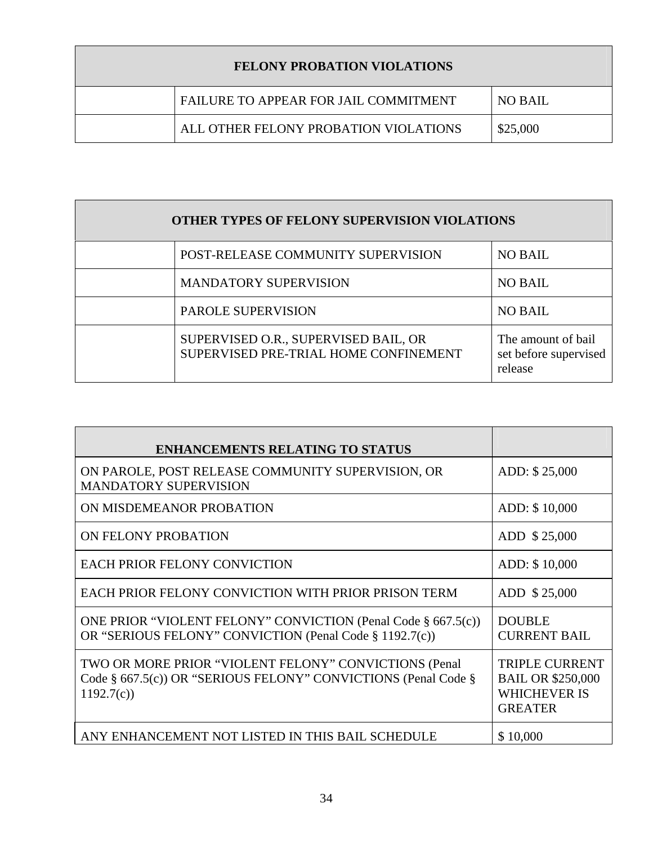| <b>FELONY PROBATION VIOLATIONS</b> |                                       |          |
|------------------------------------|---------------------------------------|----------|
|                                    | FAILURE TO APPEAR FOR JAIL COMMITMENT | NO BAIL  |
|                                    | ALL OTHER FELONY PROBATION VIOLATIONS | \$25,000 |

| OTHER TYPES OF FELONY SUPERVISION VIOLATIONS |                                                                               |                                                        |
|----------------------------------------------|-------------------------------------------------------------------------------|--------------------------------------------------------|
|                                              | POST-RELEASE COMMUNITY SUPERVISION                                            | <b>NO BAIL</b>                                         |
|                                              | <b>MANDATORY SUPERVISION</b>                                                  | <b>NO BAIL</b>                                         |
|                                              | PAROLE SUPERVISION                                                            | <b>NO BAIL</b>                                         |
|                                              | SUPERVISED O.R., SUPERVISED BAIL, OR<br>SUPERVISED PRE-TRIAL HOME CONFINEMENT | The amount of bail<br>set before supervised<br>release |

| <b>ENHANCEMENTS RELATING TO STATUS</b>                                                                                               |                                                                                            |
|--------------------------------------------------------------------------------------------------------------------------------------|--------------------------------------------------------------------------------------------|
| ON PAROLE, POST RELEASE COMMUNITY SUPERVISION, OR<br><b>MANDATORY SUPERVISION</b>                                                    | ADD: \$25,000                                                                              |
| ON MISDEMEANOR PROBATION                                                                                                             | ADD: \$10,000                                                                              |
| ON FELONY PROBATION                                                                                                                  | ADD \$25,000                                                                               |
| <b>EACH PRIOR FELONY CONVICTION</b>                                                                                                  | ADD: \$10,000                                                                              |
| EACH PRIOR FELONY CONVICTION WITH PRIOR PRISON TERM                                                                                  | ADD \$25,000                                                                               |
| ONE PRIOR "VIOLENT FELONY" CONVICTION (Penal Code § 667.5(c))<br>OR "SERIOUS FELONY" CONVICTION (Penal Code § 1192.7(c))             | <b>DOUBLE</b><br><b>CURRENT BAIL</b>                                                       |
| TWO OR MORE PRIOR "VIOLENT FELONY" CONVICTIONS (Penal<br>Code § 667.5(c)) OR "SERIOUS FELONY" CONVICTIONS (Penal Code §<br>1192.7(c) | <b>TRIPLE CURRENT</b><br><b>BAIL OR \$250,000</b><br><b>WHICHEVER IS</b><br><b>GREATER</b> |
| ANY ENHANCEMENT NOT LISTED IN THIS BAIL SCHEDULE                                                                                     | \$10,000                                                                                   |